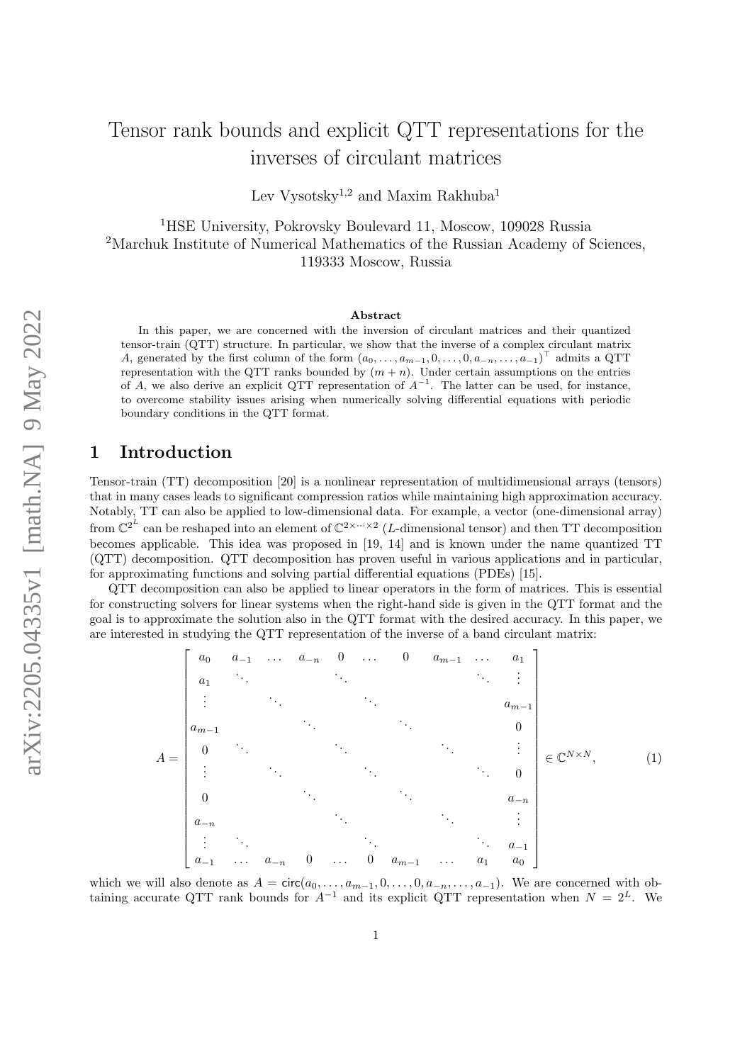# Tensor rank bounds and explicit QTT representations for the inverses of circulant matrices

Lev Vysotsky<sup>1,2</sup> and Maxim Rakhuba<sup>1</sup>

<sup>1</sup>HSE University, Pokrovsky Boulevard 11, Moscow, 109028 Russia <sup>2</sup>Marchuk Institute of Numerical Mathematics of the Russian Academy of Sciences, 119333 Moscow, Russia

#### Abstract

In this paper, we are concerned with the inversion of circulant matrices and their quantized tensor-train (QTT) structure. In particular, we show that the inverse of a complex circulant matrix A, generated by the first column of the form  $(a_0, \ldots, a_{m-1}, 0, \ldots, 0, a_{-n}, \ldots, a_{-1})^{\top}$  admits a QTT representation with the QTT ranks bounded by  $(m + n)$ . Under certain assumptions on the entries of A, we also derive an explicit QTT representation of  $A^{-1}$ . The latter can be used, for instance, to overcome stability issues arising when numerically solving differential equations with periodic boundary conditions in the QTT format.

### 1 Introduction

Tensor-train (TT) decomposition [\[20\]](#page-19-0) is a nonlinear representation of multidimensional arrays (tensors) that in many cases leads to significant compression ratios while maintaining high approximation accuracy. Notably, TT can also be applied to low-dimensional data. For example, a vector (one-dimensional array) from  $\mathbb{C}^{2^L}$  can be reshaped into an element of  $\mathbb{C}^{2 \times \cdots \times 2}$  (*L*-dimensional tensor) and then TT decomposition becomes applicable. This idea was proposed in [\[19,](#page-19-1) [14\]](#page-19-2) and is known under the name quantized TT (QTT) decomposition. QTT decomposition has proven useful in various applications and in particular, for approximating functions and solving partial differential equations (PDEs) [\[15\]](#page-19-3).

QTT decomposition can also be applied to linear operators in the form of matrices. This is essential for constructing solvers for linear systems when the right-hand side is given in the QTT format and the goal is to approximate the solution also in the QTT format with the desired accuracy. In this paper, we are interested in studying the QTT representation of the inverse of a band circulant matrix:

<span id="page-0-0"></span>
$$
A = \begin{bmatrix} a_0 & a_{-1} & \cdots & a_{-n} & 0 & \cdots & 0 & a_{m-1} & \cdots & a_1 \\ a_1 & \ddots & & & & & & \vdots \\ \vdots & & & & & & & & 0 \\ a_{m-1} & & & & & & & 0 \\ 0 & & & & & & & & \vdots \\ \vdots & & & & & & & \vdots \\ 0 & & & & & & & & 0 \\ \vdots & & & & & & & & 0 \\ 0 & & & & & & & & \vdots \\ a_{-n} & & & & & & & & \vdots \\ \vdots & & & & & & & & \vdots \\ a_{-1} & \cdots & a_{-n} & 0 & \cdots & 0 & a_{m-1} & \cdots & a_1 & a_0 \end{bmatrix} \in \mathbb{C}^{N \times N}, \qquad (1)
$$

which we will also denote as  $A = \text{circ}(a_0, \ldots, a_{m-1}, 0, \ldots, 0, a_{-n}, \ldots, a_{-1})$ . We are concerned with obtaining accurate QTT rank bounds for  $A^{-1}$  and its explicit QTT representation when  $N = 2^L$ . We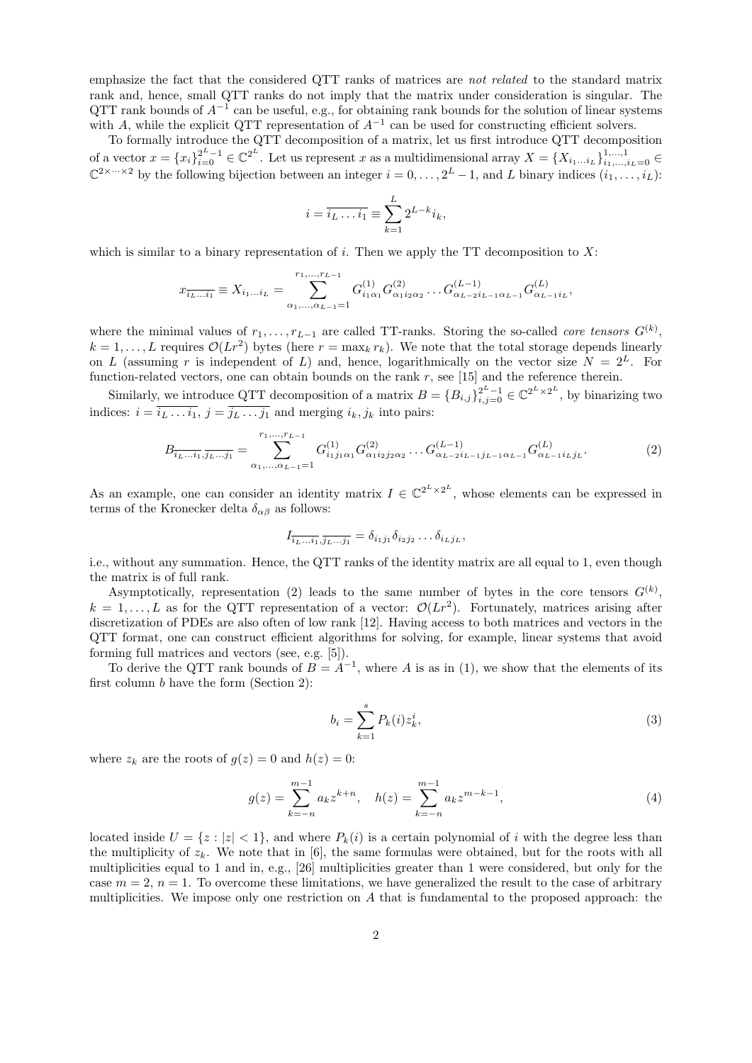emphasize the fact that the considered QTT ranks of matrices are not related to the standard matrix rank and, hence, small QTT ranks do not imply that the matrix under consideration is singular. The QTT rank bounds of  $A^{-1}$  can be useful, e.g., for obtaining rank bounds for the solution of linear systems with A, while the explicit QTT representation of  $A^{-1}$  can be used for constructing efficient solvers.

To formally introduce the QTT decomposition of a matrix, let us first introduce QTT decomposition of a vector  $x = \{x_i\}_{i=0}^{2^L-1} \in \mathbb{C}^{2^L}$ . Let us represent x as a multidimensional array  $X = \{X_{i_1...i_L}\}_{i_1,...,i_L=0}^{1,...,1} \in$  $\mathbb{C}^{2 \times \cdots \times 2}$  by the following bijection between an integer  $i = 0, \ldots, 2^L - 1$ , and L binary indices  $(i_1, \ldots, i_L)$ :

$$
i = \overline{i_L \dots i_1} \equiv \sum_{k=1}^{L} 2^{L-k} i_k,
$$

which is similar to a binary representation of i. Then we apply the TT decomposition to  $X$ :

$$
x_{\overline{i_L \dots i_1}} \equiv X_{i_1 \dots i_L} = \sum_{\alpha_1, \dots, \alpha_{L-1} = 1}^{r_1, \dots, r_{L-1}} G_{i_1 \alpha_1}^{(1)} G_{\alpha_1 i_2 \alpha_2}^{(2)} \dots G_{\alpha_{L-2} i_{L-1} \alpha_{L-1}}^{(L-1)} G_{\alpha_{L-1} i_L}^{(L)},
$$

where the minimal values of  $r_1, \ldots, r_{L-1}$  are called TT-ranks. Storing the so-called *core tensors*  $G^{(k)}$ ,  $k = 1, \ldots, L$  requires  $\mathcal{O}(Lr^2)$  bytes (here  $r = \max_k r_k$ ). We note that the total storage depends linearly on L (assuming r is independent of L) and, hence, logarithmically on the vector size  $N = 2^L$ . For function-related vectors, one can obtain bounds on the rank r, see [\[15\]](#page-19-3) and the reference therein.

Similarly, we introduce QTT decomposition of a matrix  $B = \{B_{i,j}\}_{i,j=0}^{2^L-1} \in \mathbb{C}^{2^L \times 2^L}$ , by binarizing two indices:  $i = i_L \dots i_1, j = j_L \dots j_1$  and merging  $i_k, j_k$  into pairs:

<span id="page-1-0"></span>
$$
B_{\overline{i_L \dots i_1}, \overline{j_L \dots j_1}} = \sum_{\alpha_1, \dots, \alpha_{L-1}=1}^{r_1, \dots, r_{L-1}} G_{i_1 j_1 \alpha_1}^{(1)} G_{\alpha_1 i_2 j_2 \alpha_2}^{(2)} \dots G_{\alpha_{L-2} i_{L-1} j_{L-1} \alpha_{L-1}}^{(L-1)} G_{\alpha_{L-1} i_L j_L}^{(L)}.
$$
(2)

As an example, one can consider an identity matrix  $I \in \mathbb{C}^{2^L \times 2^L}$ , whose elements can be expressed in terms of the Kronecker delta  $\delta_{\alpha\beta}$  as follows:

$$
I_{\overline{i_L \dots i_1}, \overline{j_L \dots j_1}} = \delta_{i_1 j_1} \delta_{i_2 j_2} \dots \delta_{i_L j_L},
$$

i.e., without any summation. Hence, the QTT ranks of the identity matrix are all equal to 1, even though the matrix is of full rank.

Asymptotically, representation [\(2\)](#page-1-0) leads to the same number of bytes in the core tensors  $G^{(k)}$ ,  $k = 1, \ldots, L$  as for the QTT representation of a vector:  $\mathcal{O}(Lr^2)$ . Fortunately, matrices arising after discretization of PDEs are also often of low rank [\[12\]](#page-19-4). Having access to both matrices and vectors in the QTT format, one can construct efficient algorithms for solving, for example, linear systems that avoid forming full matrices and vectors (see, e.g. [\[5\]](#page-18-0)).

To derive the QTT rank bounds of  $B = A^{-1}$ , where A is as in [\(1\)](#page-0-0), we show that the elements of its first column b have the form (Section [2\)](#page-2-0):

<span id="page-1-2"></span>
$$
b_i = \sum_{k=1}^{s} P_k(i) z_k^i,
$$
\n(3)

where  $z_k$  are the roots of  $g(z) = 0$  and  $h(z) = 0$ :

<span id="page-1-1"></span>
$$
g(z) = \sum_{k=-n}^{m-1} a_k z^{k+n}, \quad h(z) = \sum_{k=-n}^{m-1} a_k z^{m-k-1}, \tag{4}
$$

located inside  $U = \{z : |z| < 1\}$ , and where  $P_k(i)$  is a certain polynomial of i with the degree less than the multiplicity of  $z_k$ . We note that in [\[6\]](#page-18-1), the same formulas were obtained, but for the roots with all multiplicities equal to 1 and in, e.g., [\[26\]](#page-19-5) multiplicities greater than 1 were considered, but only for the case  $m = 2$ ,  $n = 1$ . To overcome these limitations, we have generalized the result to the case of arbitrary multiplicities. We impose only one restriction on  $A$  that is fundamental to the proposed approach: the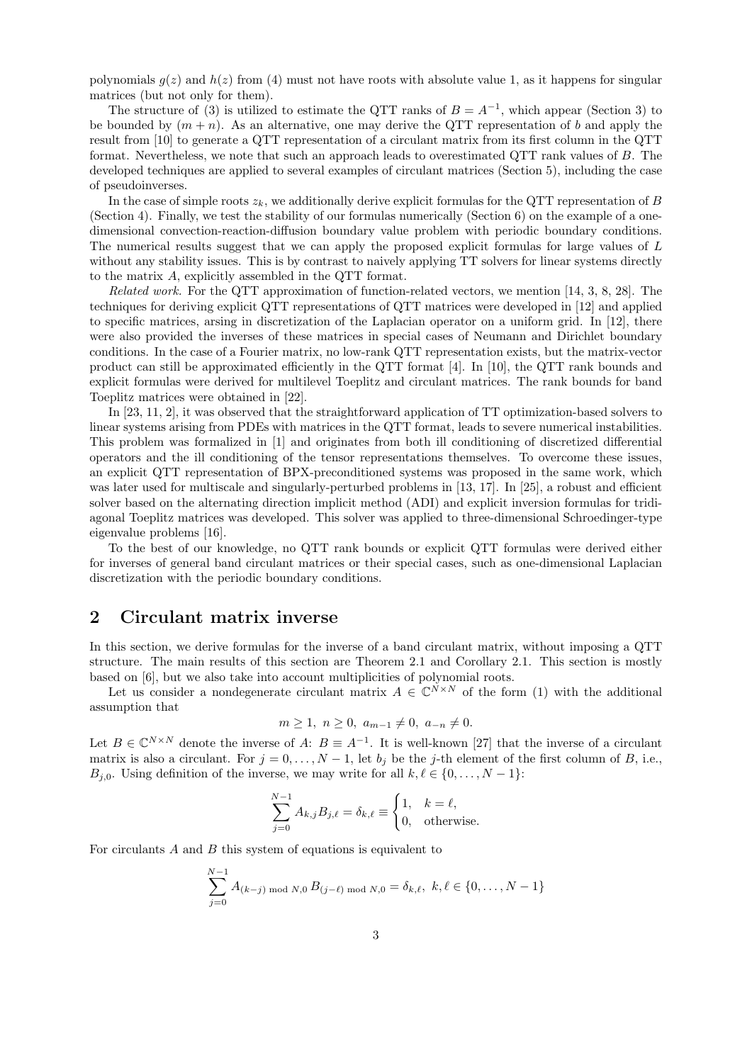polynomials  $g(z)$  and  $h(z)$  from [\(4\)](#page-1-1) must not have roots with absolute value 1, as it happens for singular matrices (but not only for them).

The structure of [\(3\)](#page-1-2) is utilized to estimate the QTT ranks of  $B = A^{-1}$ , which appear (Section [3\)](#page-7-0) to be bounded by  $(m + n)$ . As an alternative, one may derive the QTT representation of b and apply the result from [\[10\]](#page-18-2) to generate a QTT representation of a circulant matrix from its first column in the QTT format. Nevertheless, we note that such an approach leads to overestimated QTT rank values of B. The developed techniques are applied to several examples of circulant matrices (Section [5\)](#page-13-0), including the case of pseudoinverses.

In the case of simple roots  $z_k$ , we additionally derive explicit formulas for the QTT representation of B (Section [4\)](#page-9-0). Finally, we test the stability of our formulas numerically (Section [6\)](#page-15-0) on the example of a onedimensional convection-reaction-diffusion boundary value problem with periodic boundary conditions. The numerical results suggest that we can apply the proposed explicit formulas for large values of L without any stability issues. This is by contrast to naively applying TT solvers for linear systems directly to the matrix A, explicitly assembled in the QTT format.

Related work. For the QTT approximation of function-related vectors, we mention [\[14,](#page-19-2) [3,](#page-18-3) [8,](#page-18-4) [28\]](#page-19-6). The techniques for deriving explicit QTT representations of QTT matrices were developed in [\[12\]](#page-19-4) and applied to specific matrices, arsing in discretization of the Laplacian operator on a uniform grid. In [\[12\]](#page-19-4), there were also provided the inverses of these matrices in special cases of Neumann and Dirichlet boundary conditions. In the case of a Fourier matrix, no low-rank QTT representation exists, but the matrix-vector product can still be approximated efficiently in the QTT format [\[4\]](#page-18-5). In [\[10\]](#page-18-2), the QTT rank bounds and explicit formulas were derived for multilevel Toeplitz and circulant matrices. The rank bounds for band Toeplitz matrices were obtained in [\[22\]](#page-19-7).

In [\[23,](#page-19-8) [11,](#page-18-6) [2\]](#page-18-7), it was observed that the straightforward application of TT optimization-based solvers to linear systems arising from PDEs with matrices in the QTT format, leads to severe numerical instabilities. This problem was formalized in [\[1\]](#page-18-8) and originates from both ill conditioning of discretized differential operators and the ill conditioning of the tensor representations themselves. To overcome these issues, an explicit QTT representation of BPX-preconditioned systems was proposed in the same work, which was later used for multiscale and singularly-perturbed problems in [\[13,](#page-19-9) [17\]](#page-19-10). In [\[25\]](#page-19-11), a robust and efficient solver based on the alternating direction implicit method (ADI) and explicit inversion formulas for tridiagonal Toeplitz matrices was developed. This solver was applied to three-dimensional Schroedinger-type eigenvalue problems [\[16\]](#page-19-12).

To the best of our knowledge, no QTT rank bounds or explicit QTT formulas were derived either for inverses of general band circulant matrices or their special cases, such as one-dimensional Laplacian discretization with the periodic boundary conditions.

# <span id="page-2-0"></span>2 Circulant matrix inverse

In this section, we derive formulas for the inverse of a band circulant matrix, without imposing a QTT structure. The main results of this section are Theorem [2.1](#page-4-0) and Corollary [2.1.](#page-6-0) This section is mostly based on [\[6\]](#page-18-1), but we also take into account multiplicities of polynomial roots.

Let us consider a nondegenerate circulant matrix  $A \in \mathbb{C}^{N \times N}$  of the form [\(1\)](#page-0-0) with the additional assumption that

$$
m \ge 1, n \ge 0, a_{m-1} \ne 0, a_{-n} \ne 0.
$$

Let  $B \in \mathbb{C}^{N \times N}$  denote the inverse of A:  $B \equiv A^{-1}$ . It is well-known [\[27\]](#page-19-13) that the inverse of a circulant matrix is also a circulant. For  $j = 0, \ldots, N - 1$ , let  $b_j$  be the j-th element of the first column of B, i.e.,  $B_{j,0}$ . Using definition of the inverse, we may write for all  $k, \ell \in \{0, \ldots, N - 1\}$ :

$$
\sum_{j=0}^{N-1} A_{k,j} B_{j,\ell} = \delta_{k,\ell} \equiv \begin{cases} 1, & k = \ell, \\ 0, & \text{otherwise.} \end{cases}
$$

For circulants  $A$  and  $B$  this system of equations is equivalent to

$$
\sum_{j=0}^{N-1} A_{(k-j) \bmod N,0} B_{(j-\ell) \bmod N,0} = \delta_{k,\ell}, \ k,\ell \in \{0,\ldots,N-1\}
$$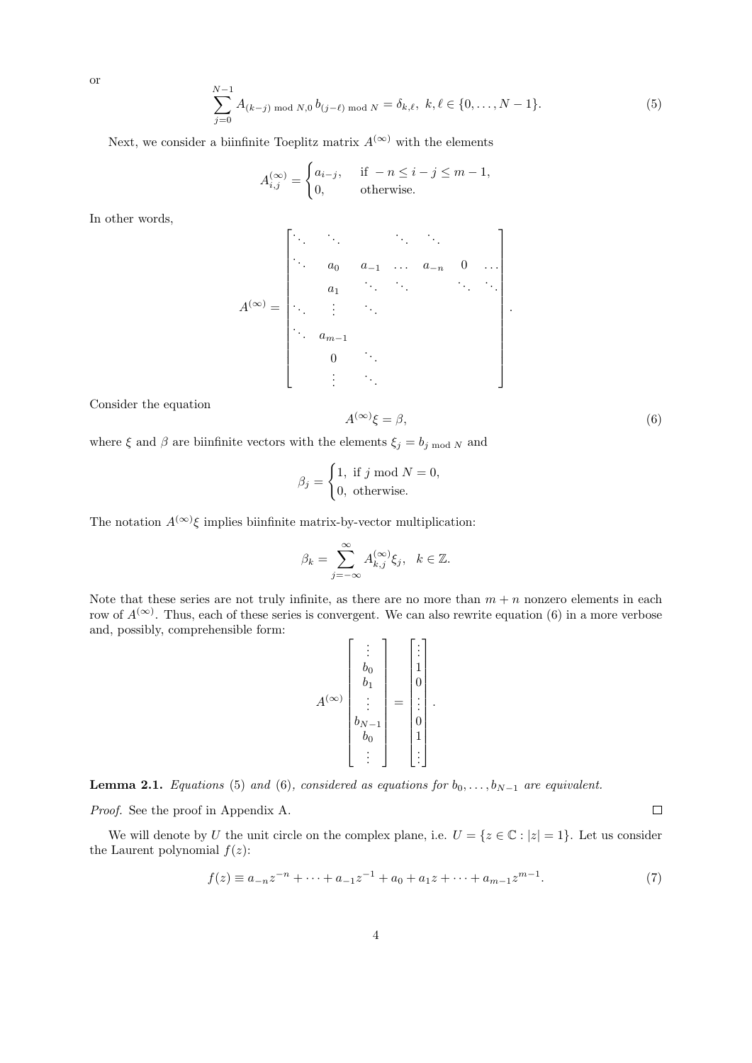<span id="page-3-1"></span>
$$
\sum_{j=0}^{N-1} A_{(k-j) \bmod N,0} b_{(j-\ell) \bmod N} = \delta_{k,\ell}, \ k, \ell \in \{0, \dots, N-1\}.
$$
 (5)

Next, we consider a biinfinite Toeplitz matrix  $A^{(\infty)}$  with the elements

$$
A_{i,j}^{(\infty)} = \begin{cases} a_{i-j}, & \text{if } -n \le i-j \le m-1, \\ 0, & \text{otherwise.} \end{cases}
$$

In other words,

A (∞) = . . . . . . . . . . . . . . . a<sup>0</sup> a−<sup>1</sup> . . . a−<sup>n</sup> 0 . . . a1 . . . . . . . . . . . . . . . . . . . . . . . . am−<sup>1</sup> 0 . . . . . . . . . .

Consider the equation

<span id="page-3-0"></span>
$$
A^{(\infty)}\xi = \beta,\tag{6}
$$

where  $\xi$  and  $\beta$  are biinfinite vectors with the elements  $\xi_j = b_j \mod N$  and

$$
\beta_j = \begin{cases} 1, \text{ if } j \text{ mod } N = 0, \\ 0, \text{ otherwise.} \end{cases}
$$

The notation  $A^{(\infty)}\xi$  implies biinfinite matrix-by-vector multiplication:

$$
\beta_k = \sum_{j=-\infty}^{\infty} A_{k,j}^{(\infty)} \xi_j, \quad k \in \mathbb{Z}.
$$

Note that these series are not truly infinite, as there are no more than  $m + n$  nonzero elements in each row of  $A^{(\infty)}$ . Thus, each of these series is convergent. We can also rewrite equation [\(6\)](#page-3-0) in a more verbose and, possibly, comprehensible form:

$$
A^{(\infty)}\begin{bmatrix} \vdots \\ b_0 \\ b_1 \\ \vdots \\ b_{N-1} \\ b_0 \\ \vdots \end{bmatrix} = \begin{bmatrix} \vdots \\ 1 \\ 0 \\ \vdots \\ 0 \\ 1 \\ \vdots \end{bmatrix}.
$$

<span id="page-3-2"></span>**Lemma 2.1.** Equations [\(5\)](#page-3-1) and [\(6\)](#page-3-0), considered as equations for  $b_0, \ldots, b_{N-1}$  are equivalent.

Proof. See the proof in Appendix [A.](#page-20-0)

We will denote by U the unit circle on the complex plane, i.e.  $U = \{z \in \mathbb{C} : |z| = 1\}$ . Let us consider the Laurent polynomial  $f(z)$ :

<span id="page-3-3"></span>
$$
f(z) \equiv a_{-n}z^{-n} + \dots + a_{-1}z^{-1} + a_0 + a_1z + \dots + a_{m-1}z^{m-1}.
$$
 (7)

or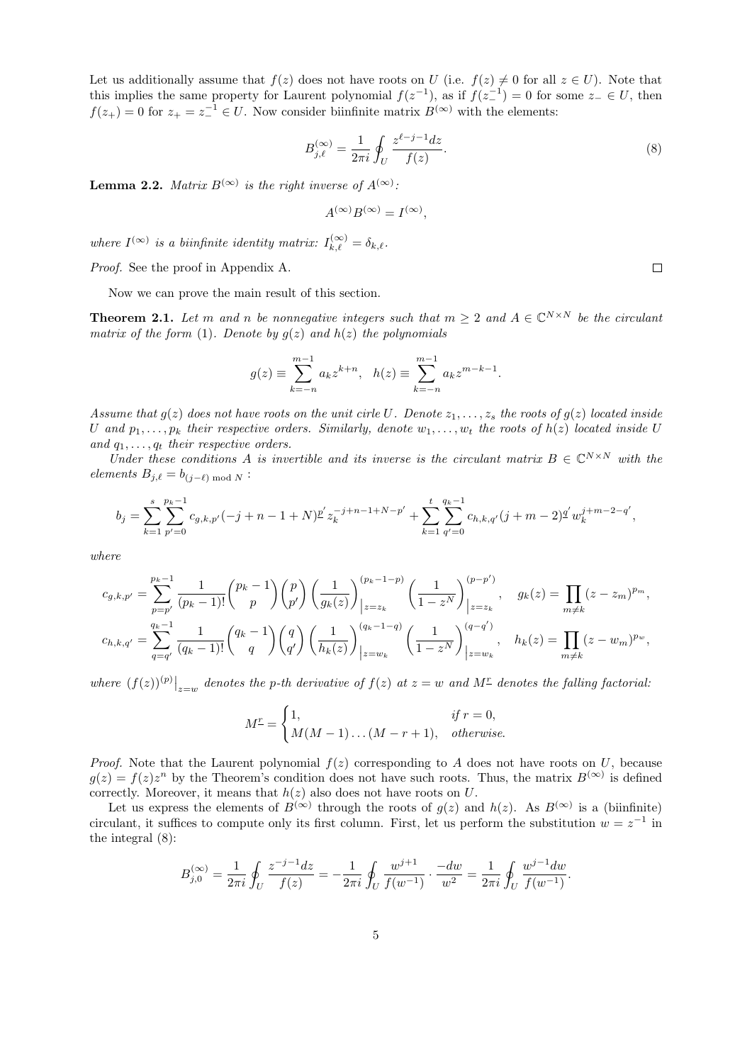Let us additionally assume that  $f(z)$  does not have roots on U (i.e.  $f(z) \neq 0$  for all  $z \in U$ ). Note that this implies the same property for Laurent polynomial  $f(z^{-1})$ , as if  $f(z^{-1}) = 0$  for some  $z = \in U$ , then  $f(z_+) = 0$  for  $z_+ = z_-^{-1} \in U$ . Now consider biinfinite matrix  $B^{(\infty)}$  with the elements:

<span id="page-4-1"></span>
$$
B_{j,\ell}^{(\infty)} = \frac{1}{2\pi i} \oint_U \frac{z^{\ell-j-1} dz}{f(z)}.
$$
 (8)

<span id="page-4-2"></span>**Lemma 2.2.** Matrix  $B^{(\infty)}$  is the right inverse of  $A^{(\infty)}$ .

$$
A^{(\infty)}B^{(\infty)} = I^{(\infty)},
$$

where  $I^{(\infty)}$  is a biinfinite identity matrix:  $I_{k,\ell}^{(\infty)} = \delta_{k,\ell}$ .

Proof. See the proof in Appendix [A.](#page-20-0)

Now we can prove the main result of this section.

<span id="page-4-0"></span>**Theorem 2.1.** Let m and n be nonnegative integers such that  $m \geq 2$  and  $A \in \mathbb{C}^{N \times N}$  be the circulant matrix of the form [\(1\)](#page-0-0). Denote by  $g(z)$  and  $h(z)$  the polynomials

$$
g(z) \equiv \sum_{k=-n}^{m-1} a_k z^{k+n}, \quad h(z) \equiv \sum_{k=-n}^{m-1} a_k z^{m-k-1}.
$$

Assume that  $q(z)$  does not have roots on the unit cirle U. Denote  $z_1, \ldots, z_s$  the roots of  $q(z)$  located inside U and  $p_1, \ldots, p_k$  their respective orders. Similarly, denote  $w_1, \ldots, w_t$  the roots of  $h(z)$  located inside U and  $q_1, \ldots, q_t$  their respective orders.

Under these conditions A is invertible and its inverse is the circulant matrix  $B \in \mathbb{C}^{N \times N}$  with the elements  $B_{j,\ell} = b_{(j-\ell) \bmod N}$ :

$$
b_j = \sum_{k=1}^s \sum_{p'=0}^{p_k-1} c_{g,k,p'}(-j+n-1+N) \frac{p'}{z_k} z_j^{j+n-1+N-p'} + \sum_{k=1}^t \sum_{q'=0}^{q_k-1} c_{h,k,q'}(j+m-2) \frac{q'}{w_k^{j+m-2-q'}},
$$

where

$$
c_{g,k,p'} = \sum_{p=p'}^{p_k-1} \frac{1}{(p_k-1)!} {p_k-1 \choose p} {p \choose p'} \left(\frac{1}{g_k(z)}\right)_{|z=z_k}^{(p_k-1-p)} \left(\frac{1}{1-z^N}\right)_{|z=z_k}^{(p-p')}, \quad g_k(z) = \prod_{m \neq k} (z-z_m)^{p_m},
$$
  

$$
c_{h,k,q'} = \sum_{q=q'}^{q_k-1} \frac{1}{(q_k-1)!} {q_k-1 \choose q} {q \choose q'} \left(\frac{1}{h_k(z)}\right)_{|z=w_k}^{(q_k-1-q)} \left(\frac{1}{1-z^N}\right)_{|z=w_k}^{(q-q')}, \quad h_k(z) = \prod_{m \neq k} (z-w_m)^{p_w},
$$

where  $(f(z))^{(p)}\big|_{z=w}$  denotes the p-th derivative of  $f(z)$  at  $z=w$  and  $M<sup>\pm</sup>$  denotes the falling factorial:

$$
M^{\underline{r}} = \begin{cases} 1, & \text{if } r = 0, \\ M(M-1)\dots(M-r+1), & \text{otherwise.} \end{cases}
$$

*Proof.* Note that the Laurent polynomial  $f(z)$  corresponding to A does not have roots on U, because  $g(z) = f(z)z^n$  by the Theorem's condition does not have such roots. Thus, the matrix  $B^{(\infty)}$  is defined correctly. Moreover, it means that  $h(z)$  also does not have roots on U.

Let us express the elements of  $B^{(\infty)}$  through the roots of  $g(z)$  and  $h(z)$ . As  $B^{(\infty)}$  is a (biinfinite) circulant, it suffices to compute only its first column. First, let us perform the substitution  $w = z^{-1}$  in the integral [\(8\)](#page-4-1):

$$
B_{j,0}^{(\infty)} = \frac{1}{2\pi i} \oint_U \frac{z^{-j-1}dz}{f(z)} = -\frac{1}{2\pi i} \oint_U \frac{w^{j+1}}{f(w^{-1})} \cdot \frac{-dw}{w^2} = \frac{1}{2\pi i} \oint_U \frac{w^{j-1}dw}{f(w^{-1})}.
$$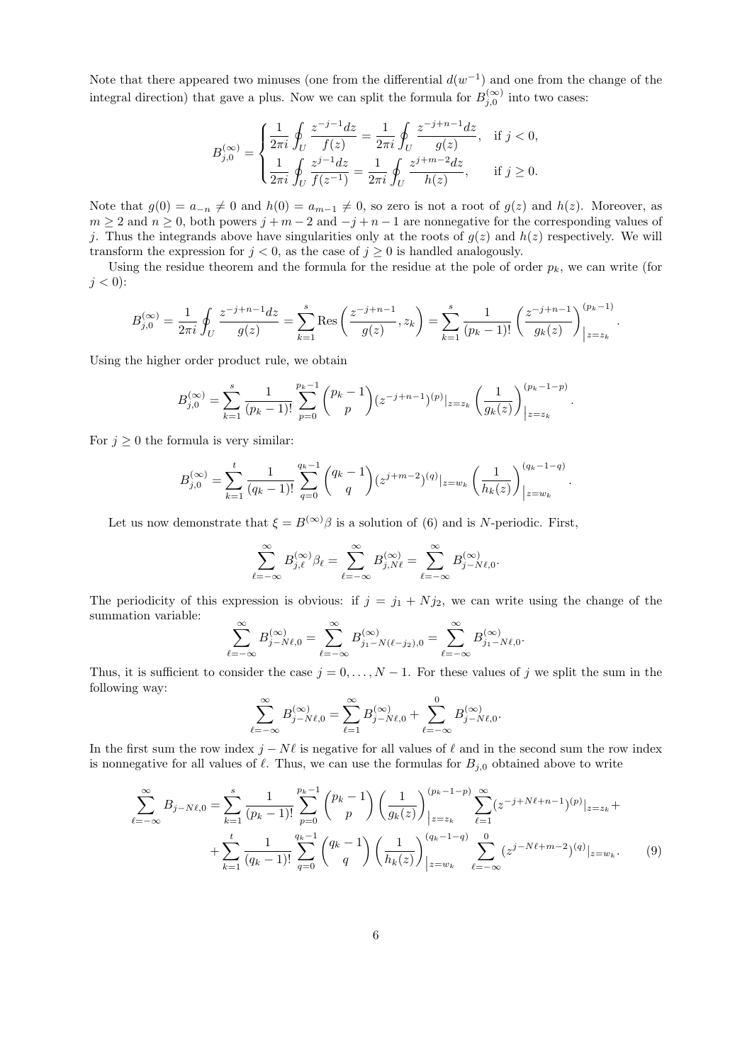Note that there appeared two minuses (one from the differential  $d(w^{-1})$  and one from the change of the integral direction) that gave a plus. Now we can split the formula for  $B_{j,0}^{(\infty)}$  into two cases:

$$
B_{j,0}^{(\infty)} = \begin{cases} \frac{1}{2\pi i} \oint_U \frac{z^{-j-1}dz}{f(z)} = \frac{1}{2\pi i} \oint_U \frac{z^{-j+n-1}dz}{g(z)}, & \text{if } j < 0, \\ \frac{1}{2\pi i} \oint_U \frac{z^{j-1}dz}{f(z^{-1})} = \frac{1}{2\pi i} \oint_U \frac{z^{j+m-2}dz}{h(z)}, & \text{if } j \ge 0. \end{cases}
$$

Note that  $g(0) = a_{-n} \neq 0$  and  $h(0) = a_{m-1} \neq 0$ , so zero is not a root of  $g(z)$  and  $h(z)$ . Moreover, as  $m \ge 2$  and  $n \ge 0$ , both powers  $j + m - 2$  and  $-j + n - 1$  are nonnegative for the corresponding values of j. Thus the integrands above have singularities only at the roots of  $g(z)$  and  $h(z)$  respectively. We will transform the expression for  $j < 0$ , as the case of  $j \ge 0$  is handled analogously.

Using the residue theorem and the formula for the residue at the pole of order  $p_k$ , we can write (for  $j < 0$ :

$$
B_{j,0}^{(\infty)} = \frac{1}{2\pi i} \oint_U \frac{z^{-j+n-1} dz}{g(z)} = \sum_{k=1}^s \text{Res}\left(\frac{z^{-j+n-1}}{g(z)}, z_k\right) = \sum_{k=1}^s \frac{1}{(p_k-1)!} \left(\frac{z^{-j+n-1}}{g_k(z)}\right)_{|z=z_k}^{(p_k-1)}.
$$

Using the higher order product rule, we obtain

$$
B_{j,0}^{(\infty)} = \sum_{k=1}^{s} \frac{1}{(p_k - 1)!} \sum_{p=0}^{p_k - 1} {p_k - 1 \choose p} (z^{-j+n-1})^{(p)}|_{z=z_k} \left(\frac{1}{g_k(z)}\right)_{|z=z_k}^{(p_k - 1 - p)}
$$

.

For  $j \geq 0$  the formula is very similar:

$$
B_{j,0}^{(\infty)} = \sum_{k=1}^t \frac{1}{(q_k-1)!} \sum_{q=0}^{q_k-1} {q_k-1 \choose q} (z^{j+m-2})^{(q)}|_{z=w_k} \left(\frac{1}{h_k(z)}\right)_{|z=w_k}^{(q_k-1-q)}.
$$

Let us now demonstrate that  $\xi = B^{(\infty)}\beta$  is a solution of [\(6\)](#page-3-0) and is N-periodic. First,

$$
\sum_{\ell=-\infty}^{\infty} B_{j,\ell}^{(\infty)} \beta_{\ell} = \sum_{\ell=-\infty}^{\infty} B_{j,N\ell}^{(\infty)} = \sum_{\ell=-\infty}^{\infty} B_{j-N\ell,0}^{(\infty)}.
$$

The periodicity of this expression is obvious: if  $j = j_1 + N j_2$ , we can write using the change of the summation variable:

$$
\sum_{\ell=-\infty}^{\infty} B_{j-N\ell,0}^{(\infty)} = \sum_{\ell=-\infty}^{\infty} B_{j_1-N(\ell-j_2),0}^{(\infty)} = \sum_{\ell=-\infty}^{\infty} B_{j_1-N\ell,0}^{(\infty)}.
$$

Thus, it is sufficient to consider the case  $j = 0, \ldots, N - 1$ . For these values of j we split the sum in the following way:

<span id="page-5-0"></span>
$$
\sum_{\ell=-\infty}^{\infty} B_{j-N\ell,0}^{(\infty)} = \sum_{\ell=1}^{\infty} B_{j-N\ell,0}^{(\infty)} + \sum_{\ell=-\infty}^{0} B_{j-N\ell,0}^{(\infty)}.
$$

In the first sum the row index  $j - N\ell$  is negative for all values of  $\ell$  and in the second sum the row index is nonnegative for all values of  $\ell$ . Thus, we can use the formulas for  $B_{j,0}$  obtained above to write

$$
\sum_{\ell=-\infty}^{\infty} B_{j-N\ell,0} = \sum_{k=1}^{s} \frac{1}{(p_k-1)!} \sum_{p=0}^{p_k-1} {p_k-1 \choose p} \left(\frac{1}{g_k(z)}\right)_{|z=z_k}^{(p_k-1-p)} \sum_{\ell=1}^{\infty} (z^{-j+N\ell+n-1})^{(p)}|_{z=z_k} +
$$
  
+ 
$$
\sum_{k=1}^{t} \frac{1}{(q_k-1)!} \sum_{q=0}^{q_k-1} {q_k-1 \choose q} \left(\frac{1}{h_k(z)}\right)_{|z=w_k}^{(q_k-1-q)} \sum_{\ell=-\infty}^{0} (z^{j-N\ell+m-2})^{(q)}|_{z=w_k}.
$$
 (9)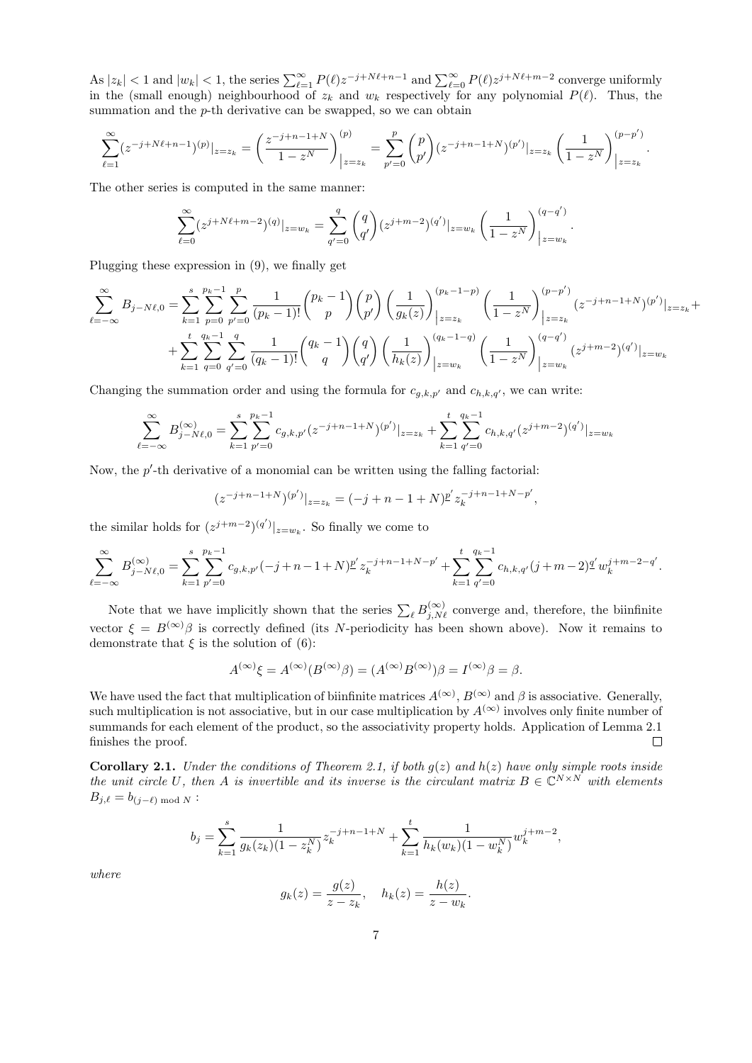As  $|z_k| < 1$  and  $|w_k| < 1$ , the series  $\sum_{\ell=1}^{\infty} P(\ell) z^{-j+N\ell+n-1}$  and  $\sum_{\ell=0}^{\infty} P(\ell) z^{j+N\ell+m-2}$  converge uniformly in the (small enough) neighbourhood of  $z_k$  and  $w_k$  respectively for any polynomial  $P(\ell)$ . Thus, the summation and the  $p$ -th derivative can be swapped, so we can obtain

$$
\sum_{\ell=1}^{\infty} (z^{-j+N\ell+n-1})^{(p)}|_{z=z_k} = \left(\frac{z^{-j+n-1+N}}{1-z^N}\right)_{|z=z_k}^{(p)} = \sum_{p'=0}^{p} \binom{p}{p'} (z^{-j+n-1+N})^{(p')}|_{z=z_k} \left(\frac{1}{1-z^N}\right)_{|z=z_k}^{(p-p')}.
$$

The other series is computed in the same manner:

$$
\sum_{\ell=0}^{\infty} (z^{j+N\ell+m-2})^{(q)}|_{z=w_k} = \sum_{q'=0}^{q} \binom{q}{q'} (z^{j+m-2})^{(q')}|_{z=w_k} \left(\frac{1}{1-z^N}\right)_{|z=w_k}^{(q-q')}.
$$

Plugging these expression in [\(9\)](#page-5-0), we finally get

$$
\sum_{\ell=-\infty}^{\infty} B_{j-N\ell,0} = \sum_{k=1}^{s} \sum_{p=0}^{p_k-1} \sum_{p'=0}^{p} \frac{1}{(p_k-1)!} {p_k-1 \choose p} {p \choose p'} \left(\frac{1}{g_k(z)}\right)_{|z=z_k}^{(p_k-1-p)} \left(\frac{1}{1-z^N}\right)_{|z=z_k}^{(p-p')} (z^{-j+n-1+N})^{(p')}|_{z=z_k} +
$$
  
+ 
$$
\sum_{k=1}^{t} \sum_{q=0}^{q_k-1} \sum_{q'=0}^{q} \frac{1}{(q_k-1)!} {q_k-1 \choose q} {q \choose q'} \left(\frac{1}{h_k(z)}\right)_{|z=w_k}^{(q_k-1-q)} \left(\frac{1}{1-z^N}\right)_{|z=w_k}^{(q-q')} (z^{j+m-2})^{(q')}|_{z=w_k}
$$

Changing the summation order and using the formula for  $c_{g,k,p'}$  and  $c_{h,k,q'}$ , we can write:

$$
\sum_{\ell=-\infty}^{\infty} B_{j-N\ell,0}^{(\infty)} = \sum_{k=1}^{s} \sum_{p'=0}^{p_k-1} c_{g,k,p'}(z^{-j+n-1+N})^{(p')} |_{z=z_k} + \sum_{k=1}^{t} \sum_{q'=0}^{q_k-1} c_{h,k,q'}(z^{j+m-2})^{(q')} |_{z=w_k}
$$

Now, the  $p'$ -th derivative of a monomial can be written using the falling factorial:

$$
(z^{-j+n-1+N})^{(p')}|_{z=z_k} = (-j+n-1+N)^{p'} z_k^{-j+n-1+N-p'},
$$

the similar holds for  $(z^{j+m-2})^{(q')}|_{z=w_k}$ . So finally we come to

$$
\sum_{\ell=-\infty}^{\infty} B_{j-N\ell,0}^{(\infty)} = \sum_{k=1}^{s} \sum_{p'=0}^{p_k-1} c_{g,k,p'}(-j+n-1+N) \frac{p'}{z_k} z_k^{-j+n-1+N-p'} + \sum_{k=1}^{t} \sum_{q'=0}^{q_k-1} c_{h,k,q'}(j+m-2) \frac{q'}{w_k^{j+m-2-q'}}.
$$

Note that we have implicitly shown that the series  $\sum_{\ell} B_{j,N\ell}^{(\infty)}$  converge and, therefore, the biinfinite vector  $\xi = B^{(\infty)}\beta$  is correctly defined (its N-periodicity has been shown above). Now it remains to demonstrate that  $\xi$  is the solution of [\(6\)](#page-3-0):

$$
A^{(\infty)}\xi = A^{(\infty)}(B^{(\infty)}\beta) = (A^{(\infty)}B^{(\infty)})\beta = I^{(\infty)}\beta = \beta.
$$

We have used the fact that multiplication of biinfinite matrices  $A^{(\infty)}$ ,  $B^{(\infty)}$  and  $\beta$  is associative. Generally, such multiplication is not associative, but in our case multiplication by  $A^{(\infty)}$  involves only finite number of summands for each element of the product, so the associativity property holds. Application of Lemma [2.1](#page-3-2) finishes the proof.  $\Box$ 

<span id="page-6-0"></span>**Corollary 2.1.** Under the conditions of Theorem [2.1,](#page-4-0) if both  $q(z)$  and  $h(z)$  have only simple roots inside the unit circle U, then A is invertible and its inverse is the circulant matrix  $B \in \mathbb{C}^{N \times N}$  with elements  $B_{j,\ell} = b_{(j-\ell) \bmod N}$ :

$$
b_j = \sum_{k=1}^s \frac{1}{g_k(z_k)(1 - z_k^N)} z_k^{-j+n-1+N} + \sum_{k=1}^t \frac{1}{h_k(w_k)(1 - w_k^N)} w_k^{j+m-2},
$$

where

$$
g_k(z) = \frac{g(z)}{z - z_k}, \quad h_k(z) = \frac{h(z)}{z - w_k}.
$$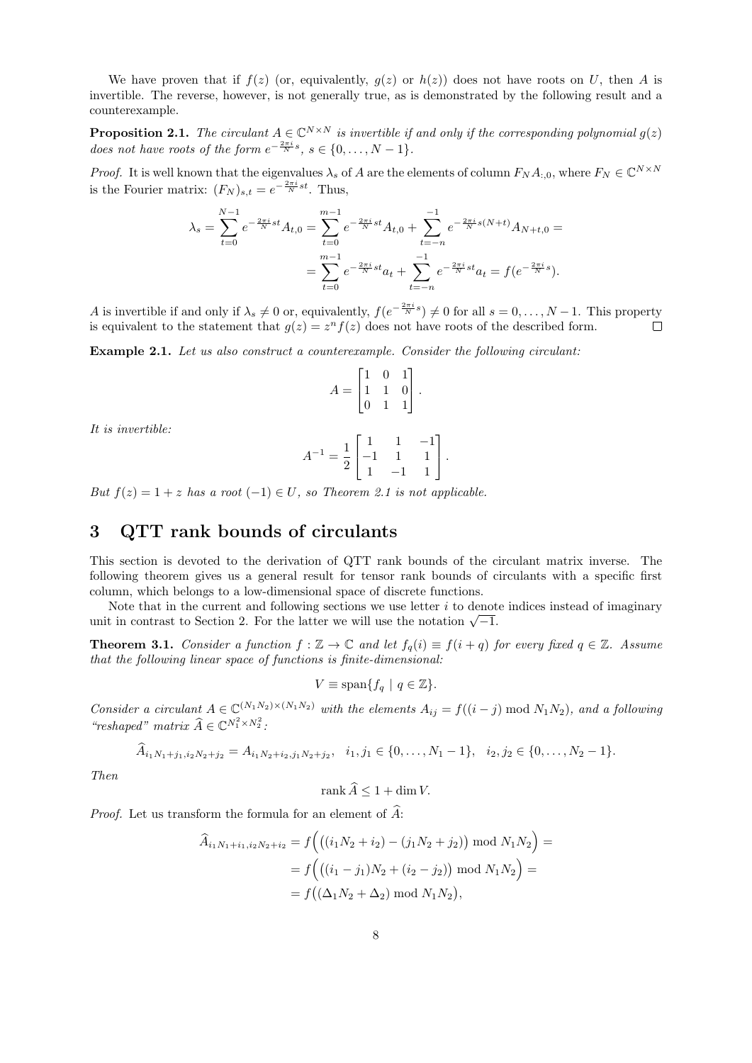We have proven that if  $f(z)$  (or, equivalently,  $g(z)$  or  $h(z)$ ) does not have roots on U, then A is invertible. The reverse, however, is not generally true, as is demonstrated by the following result and a counterexample.

**Proposition 2.1.** The circulant  $A \in \mathbb{C}^{N \times N}$  is invertible if and only if the corresponding polynomial  $g(z)$ does not have roots of the form  $e^{-\frac{2\pi i}{N}s}$ ,  $s \in \{0, \ldots, N-1\}$ .

*Proof.* It is well known that the eigenvalues  $\lambda_s$  of A are the elements of column  $F_N A_{:,0}$ , where  $F_N \in \mathbb{C}^{N \times N}$ is the Fourier matrix:  $(F_N)_{s,t} = e^{-\frac{2\pi i}{N}st}$ . Thus,

$$
\lambda_s = \sum_{t=0}^{N-1} e^{-\frac{2\pi i}{N}st} A_{t,0} = \sum_{t=0}^{m-1} e^{-\frac{2\pi i}{N}st} A_{t,0} + \sum_{t=-n}^{-1} e^{-\frac{2\pi i}{N}s(N+t)} A_{N+t,0} =
$$
  
= 
$$
\sum_{t=0}^{m-1} e^{-\frac{2\pi i}{N}st} a_t + \sum_{t=-n}^{-1} e^{-\frac{2\pi i}{N}st} a_t = f(e^{-\frac{2\pi i}{N}s}).
$$

A is invertible if and only if  $\lambda_s \neq 0$  or, equivalently,  $f(e^{-\frac{2\pi i}{N}s}) \neq 0$  for all  $s = 0, \ldots, N-1$ . This property is equivalent to the statement that  $g(z) = z^n f(z)$  does not have roots of the described form.  $\Box$ 

Example 2.1. Let us also construct a counterexample. Consider the following circulant:

$$
A = \begin{bmatrix} 1 & 0 & 1 \\ 1 & 1 & 0 \\ 0 & 1 & 1 \end{bmatrix}.
$$

It is invertible:

$$
A^{-1} = \frac{1}{2} \begin{bmatrix} 1 & 1 & -1 \\ -1 & 1 & 1 \\ 1 & -1 & 1 \end{bmatrix}.
$$

But  $f(z) = 1 + z$  has a root  $(-1) \in U$ , so Theorem [2.1](#page-4-0) is not applicable.

# <span id="page-7-0"></span>3 QTT rank bounds of circulants

This section is devoted to the derivation of QTT rank bounds of the circulant matrix inverse. The following theorem gives us a general result for tensor rank bounds of circulants with a specific first column, which belongs to a low-dimensional space of discrete functions.

Note that in the current and following sections we use letter  $i$  to denote indices instead of imaginary Note that in the current and following sections we use fetter  $i$  to denot unit in contrast to Section [2.](#page-2-0) For the latter we will use the notation  $\sqrt{-1}$ .

<span id="page-7-1"></span>**Theorem 3.1.** Consider a function  $f : \mathbb{Z} \to \mathbb{C}$  and let  $f_q(i) \equiv f(i + q)$  for every fixed  $q \in \mathbb{Z}$ . Assume that the following linear space of functions is finite-dimensional:

$$
V \equiv \text{span}\{f_q \mid q \in \mathbb{Z}\}.
$$

Consider a circulant  $A \in \mathbb{C}^{(N_1N_2)\times(N_1N_2)}$  with the elements  $A_{ij} = f((i - j) \bmod N_1N_2)$ , and a following "reshaped" matrix  $\widehat{A} \in \mathbb{C}^{N_1^2 \times N_2^2}$ :

$$
\widehat{A}_{i_1N_1+j_1,i_2N_2+j_2} = A_{i_1N_2+i_2,j_1N_2+j_2}, \quad i_1, j_1 \in \{0, \ldots, N_1-1\}, \quad i_2, j_2 \in \{0, \ldots, N_2-1\}.
$$

Then

$$
\operatorname{rank}\widehat{A}\leq 1+\dim V.
$$

*Proof.* Let us transform the formula for an element of  $\widehat{A}$ :

$$
\begin{aligned} \widehat{A}_{i_1N_1+i_1,i_2N_2+i_2} &= f\Big(\big((i_1N_2+i_2)-(j_1N_2+j_2)\big) \bmod N_1N_2\Big) = \\ &= f\Big(\big((i_1-j_1)N_2+(i_2-j_2)\big) \bmod N_1N_2\Big) = \\ &= f\big((\Delta_1N_2+\Delta_2) \bmod N_1N_2\big), \end{aligned}
$$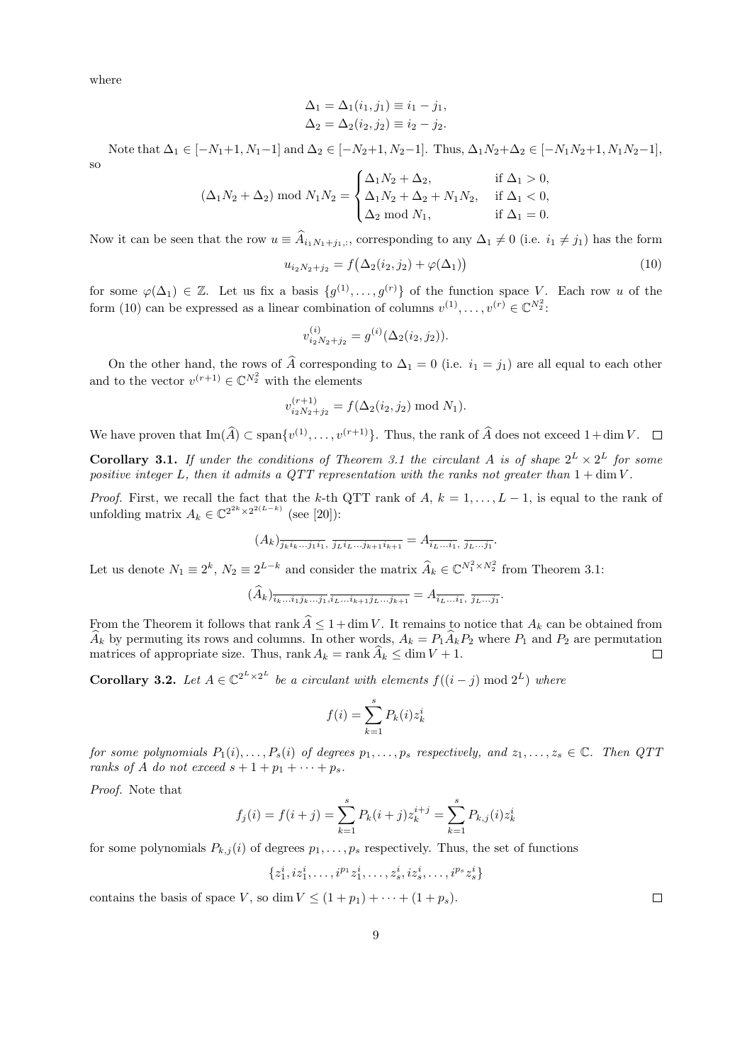where

$$
\Delta_1 = \Delta_1(i_1, j_1) \equiv i_1 - j_1,
$$
  
\n $\Delta_2 = \Delta_2(i_2, j_2) \equiv i_2 - j_2.$ 

Note that  $\Delta_1 \in [-N_1+1, N_1-1]$  and  $\Delta_2 \in [-N_2+1, N_2-1]$ . Thus,  $\Delta_1 N_2 + \Delta_2 \in [-N_1N_2+1, N_1N_2-1]$ , so

$$
(\Delta_1 N_2 + \Delta_2) \text{ mod } N_1 N_2 = \begin{cases} \Delta_1 N_2 + \Delta_2, & \text{if } \Delta_1 > 0, \\ \Delta_1 N_2 + \Delta_2 + N_1 N_2, & \text{if } \Delta_1 < 0, \\ \Delta_2 \text{ mod } N_1, & \text{if } \Delta_1 = 0. \end{cases}
$$

Now it can be seen that the row  $u \equiv A_{i_1N_1+j_1,:}$ , corresponding to any  $\Delta_1 \neq 0$  (i.e.  $i_1 \neq j_1$ ) has the form

<span id="page-8-0"></span>
$$
u_{i_2N_2+j_2} = f(\Delta_2(i_2,j_2) + \varphi(\Delta_1))
$$
\n(10)

for some  $\varphi(\Delta_1) \in \mathbb{Z}$ . Let us fix a basis  $\{g^{(1)}, \ldots, g^{(r)}\}$  of the function space V. Each row u of the form [\(10\)](#page-8-0) can be expressed as a linear combination of columns  $v^{(1)}, \ldots, v^{(r)} \in \mathbb{C}^{N_2^2}$ .

$$
v_{i_2N_2+j_2}^{(i)} = g^{(i)}(\Delta_2(i_2,j_2)).
$$

On the other hand, the rows of  $\hat{A}$  corresponding to  $\Delta_1 = 0$  (i.e.  $i_1 = j_1$ ) are all equal to each other and to the vector  $v^{(r+1)} \in \mathbb{C}^{N_2^2}$  with the elements

$$
v_{i_2N_2+j_2}^{(r+1)} = f(\Delta_2(i_2, j_2) \bmod N_1).
$$

We have proven that  $\text{Im}(\widehat{A}) \subset \text{span}\{v^{(1)}, \ldots, v^{(r+1)}\}$ . Thus, the rank of  $\widehat{A}$  does not exceed  $1+\dim V$ .

**Corollary [3.1](#page-7-1).** If under the conditions of Theorem 3.1 the circulant A is of shape  $2^L \times 2^L$  for some positive integer L, then it admits a QTT representation with the ranks not greater than  $1 + \dim V$ .

*Proof.* First, we recall the fact that the k-th QTT rank of  $A, k = 1, ..., L - 1$ , is equal to the rank of unfolding matrix  $A_k \in \mathbb{C}^{2^{2k} \times 2^{2(L-k)}}$  (see [\[20\]](#page-19-0)):

$$
(A_k)_{\overline{j_k i_k \dots j_1 i_1}}, \overline{j_L i_L \dots j_{k+1} i_{k+1}} = A_{\overline{i_L \dots i_1}}, \overline{j_L \dots j_1}.
$$

Let us denote  $N_1 \equiv 2^k$ ,  $N_2 \equiv 2^{L-k}$  and consider the matrix  $\widehat{A}_k \in \mathbb{C}^{N_1^2 \times N_2^2}$  from Theorem [3.1:](#page-7-1)

$$
(\widehat{A}_k)_{\overline{i_k \dots i_1 j_k \dots j_1}, \overline{i_L \dots i_{k+1} j_L \dots j_{k+1}}} = A_{\overline{i_L \dots i_1}, \ \overline{j_L \dots j_1}}.
$$

From the Theorem it follows that rank  $\hat{A} \leq 1 + \dim V$ . It remains to notice that  $A_k$  can be obtained from  $\widehat{A}_k$  by permuting its rows and columns. In other words,  $A_k = P_1 \widehat{A}_k P_2$  where  $P_1$  and  $P_2$  are permutation matrices of appropriate size. Thus, rank  $A_k = \text{rank } \widehat{A}_k \leq \dim V + 1$ . matrices of appropriate size. Thus, rank  $A_k = \text{rank } \widehat{A}_k \le \dim V + 1$ .

<span id="page-8-1"></span>**Corollary 3.2.** Let  $A \in \mathbb{C}^{2^L \times 2^L}$  be a circulant with elements  $f((i - j) \mod 2^L)$  where

$$
f(i) = \sum_{k=1}^{s} P_k(i) z_k^i
$$

for some polynomials  $P_1(i), \ldots, P_s(i)$  of degrees  $p_1, \ldots, p_s$  respectively, and  $z_1, \ldots, z_s \in \mathbb{C}$ . Then  $QTT$ ranks of A do not exceed  $s + 1 + p_1 + \cdots + p_s$ .

Proof. Note that

$$
f_j(i) = f(i+j) = \sum_{k=1}^{s} P_k(i+j) z_k^{i+j} = \sum_{k=1}^{s} P_{k,j}(i) z_k^{i}
$$

for some polynomials  $P_{k,j}(i)$  of degrees  $p_1, \ldots, p_s$  respectively. Thus, the set of functions

 $\{z_1^i, iz_1^i, \ldots, i^{p_1}z_1^i, \ldots, z_s^i, iz_s^i, \ldots, i^{p_s}z_s^i\}$ 

contains the basis of space V, so dim  $V \leq (1+p_1) + \cdots + (1+p_s)$ .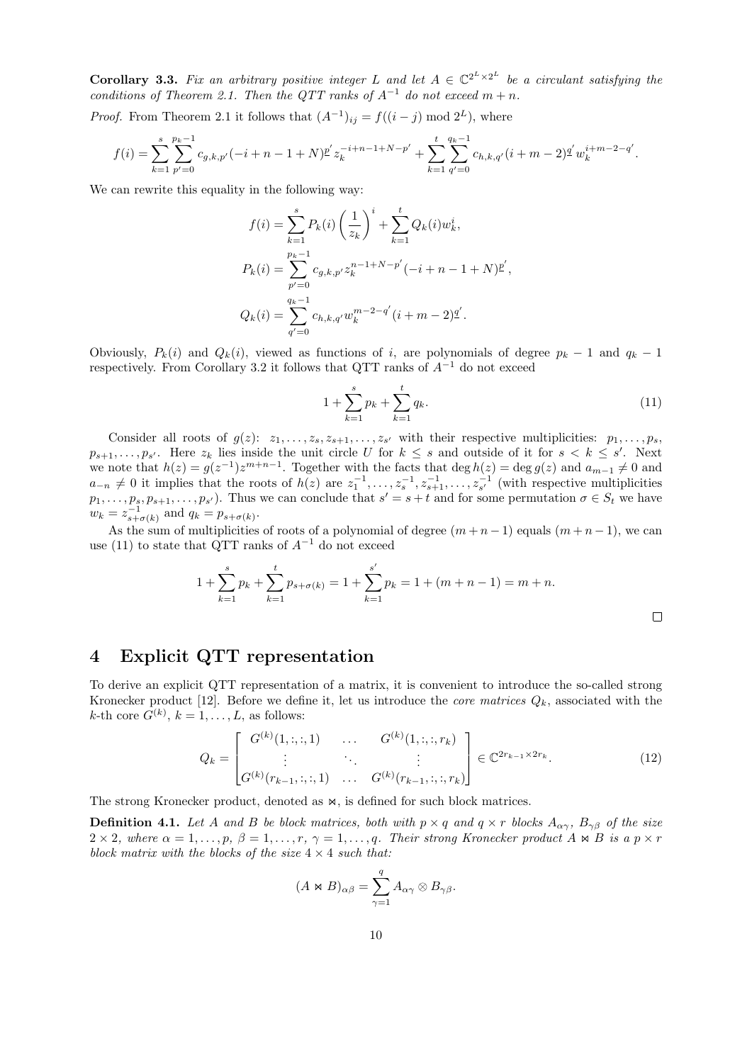**Corollary 3.3.** Fix an arbitrary positive integer L and let  $A \in \mathbb{C}^{2^L \times 2^L}$  be a circulant satisfying the conditions of Theorem [2.1.](#page-4-0) Then the QTT ranks of  $A^{-1}$  do not exceed  $m + n$ .

*Proof.* From Theorem [2.1](#page-4-0) it follows that  $(A^{-1})_{ij} = f((i - j) \mod 2^{L})$ , where

$$
f(i) = \sum_{k=1}^{s} \sum_{p'=0}^{p_k-1} c_{g,k,p'}(-i+n-1+N) \frac{p'}{z_k} z_k^{-i+n-1+N-p'} + \sum_{k=1}^{t} \sum_{q'=0}^{q_k-1} c_{h,k,q'}(i+m-2) \frac{q'}{w_k} w_k^{i+m-2-q'}.
$$

We can rewrite this equality in the following way:

$$
f(i) = \sum_{k=1}^{s} P_k(i) \left(\frac{1}{z_k}\right)^i + \sum_{k=1}^{t} Q_k(i) w_k^i,
$$
  
\n
$$
P_k(i) = \sum_{p'=0}^{p_k-1} c_{g,k,p'} z_k^{n-1+N-p'}(-i+n-1+N) \underline{p}',
$$
  
\n
$$
Q_k(i) = \sum_{q'=0}^{q_k-1} c_{h,k,q'} w_k^{m-2-q'}(i+m-2) \underline{q}'.
$$

Obviously,  $P_k(i)$  and  $Q_k(i)$ , viewed as functions of i, are polynomials of degree  $p_k - 1$  and  $q_k - 1$ respectively. From Corollary [3.2](#page-8-1) it follows that QTT ranks of  $A^{-1}$  do not exceed

<span id="page-9-1"></span>
$$
1 + \sum_{k=1}^{s} p_k + \sum_{k=1}^{t} q_k.
$$
 (11)

Consider all roots of  $g(z)$ :  $z_1, \ldots, z_s, z_{s+1}, \ldots, z_{s'}$  with their respective multiplicities:  $p_1, \ldots, p_s$ ,  $p_{s+1}, \ldots, p_{s'}$ . Here  $z_k$  lies inside the unit circle U for  $k \leq s$  and outside of it for  $s < k \leq s'$ . Next we note that  $h(z) = g(z^{-1})z^{m+n-1}$ . Together with the facts that  $\deg h(z) = \deg g(z)$  and  $a_{m-1} \neq 0$  and  $a_{-n} \neq 0$  it implies that the roots of  $h(z)$  are  $z_1^{-1}, \ldots, z_s^{-1}, z_{s+1}^{-1}, \ldots, z_{s'}^{-1}$  (with respective multiplicities  $p_1,\ldots,p_s, p_{s+1},\ldots,p_{s'}$ . Thus we can conclude that  $s'=s+t$  and for some permutation  $\sigma\in S_t$  we have  $w_k = z_{s+\sigma(k)}^{-1}$  and  $q_k = p_{s+\sigma(k)}$ .

As the sum of multiplicities of roots of a polynomial of degree  $(m+n-1)$  equals  $(m+n-1)$ , we can use [\(11\)](#page-9-1) to state that QTT ranks of  $A^{-1}$  do not exceed

$$
1 + \sum_{k=1}^{s} p_k + \sum_{k=1}^{t} p_{s+\sigma(k)} = 1 + \sum_{k=1}^{s'} p_k = 1 + (m+n-1) = m+n.
$$

<span id="page-9-0"></span>4 Explicit QTT representation

To derive an explicit QTT representation of a matrix, it is convenient to introduce the so-called strong Kronecker product [\[12\]](#page-19-4). Before we define it, let us introduce the *core matrices*  $Q_k$ , associated with the k-th core  $G^{(k)}$ ,  $k = 1, \ldots, L$ , as follows:

<span id="page-9-2"></span>
$$
Q_k = \begin{bmatrix} G^{(k)}(1, :, :, 1) & \dots & G^{(k)}(1, :, :, r_k) \\ \vdots & \ddots & \vdots \\ G^{(k)}(r_{k-1}, :, :, 1) & \dots & G^{(k)}(r_{k-1}, :, :, r_k) \end{bmatrix} \in \mathbb{C}^{2r_{k-1} \times 2r_k}.
$$
 (12)

The strong Kronecker product, denoted as  $\bowtie$ , is defined for such block matrices.

**Definition 4.1.** Let A and B be block matrices, both with  $p \times q$  and  $q \times r$  blocks  $A_{\alpha\gamma}$ ,  $B_{\gamma\beta}$  of the size  $2 \times 2$ , where  $\alpha = 1, \ldots, p$ ,  $\beta = 1, \ldots, r$ ,  $\gamma = 1, \ldots, q$ . Their strong Kronecker product  $A \Join B$  is a  $p \times r$ block matrix with the blocks of the size  $4 \times 4$  such that:

$$
(A \bowtie B)_{\alpha\beta} = \sum_{\gamma=1}^{q} A_{\alpha\gamma} \otimes B_{\gamma\beta}.
$$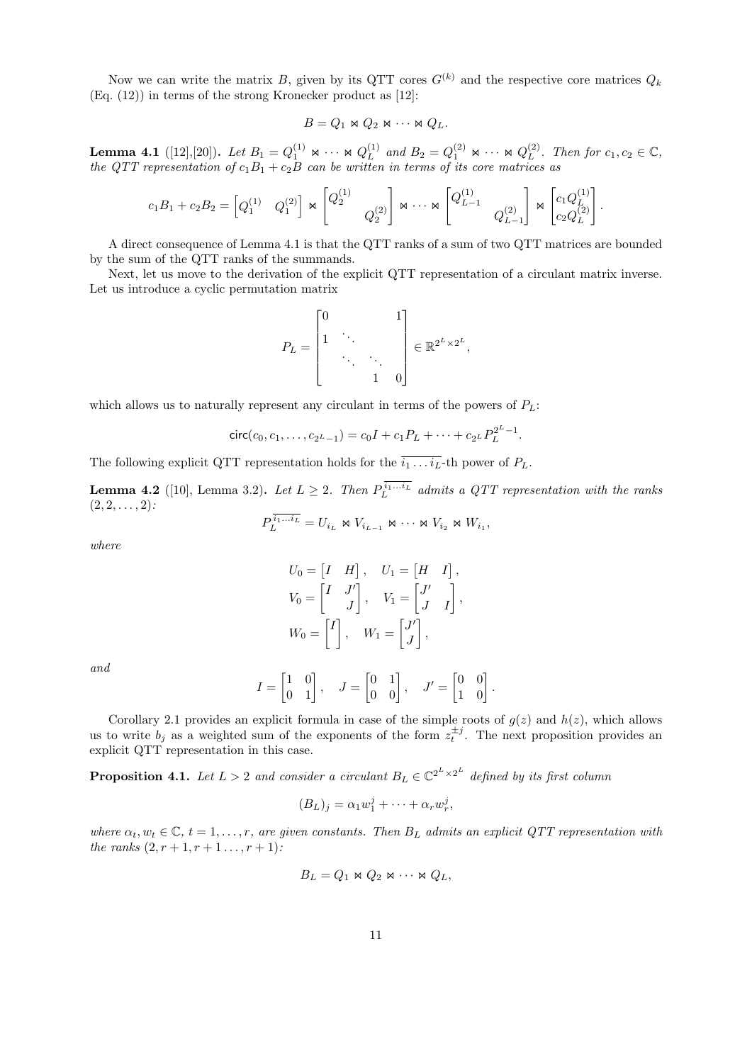Now we can write the matrix B, given by its QTT cores  $G^{(k)}$  and the respective core matrices  $Q_k$ (Eq. [\(12\)](#page-9-2)) in terms of the strong Kronecker product as [\[12\]](#page-19-4):

$$
B=Q_1\bowtie Q_2\bowtie \cdots \bowtie Q_L.
$$

<span id="page-10-0"></span>Lemma 4.1 ([\[12\]](#page-19-4),[\[20\]](#page-19-0)). Let  $B_1 = Q_1^{(1)} \Join \cdots \Join Q_L^{(1)}$  $L^{(1)}$  and  $B_2 = Q_1^{(2)} \bowtie \cdots \bowtie Q_L^{(2)}$  $L^{(2)}$ . Then for  $c_1, c_2 \in \mathbb{C}$ , the QTT representation of  $c_1B_1 + c_2B$  can be written in terms of its core matrices as

$$
c_1B_1 + c_2B_2 = \begin{bmatrix} Q_1^{(1)} & Q_1^{(2)} \end{bmatrix} \Join \begin{bmatrix} Q_2^{(1)} & & \\ & Q_2^{(2)} \end{bmatrix} \Join \cdots \Join \begin{bmatrix} Q_{L-1}^{(1)} & & \\ & Q_{L-1}^{(2)} & & \\ & & Q_{L-1}^{(2)} \end{bmatrix} \Join \begin{bmatrix} c_1Q_L^{(1)} \\ c_2Q_L^{(2)} \end{bmatrix}.
$$

A direct consequence of Lemma [4.1](#page-10-0) is that the QTT ranks of a sum of two QTT matrices are bounded by the sum of the QTT ranks of the summands.

Next, let us move to the derivation of the explicit QTT representation of a circulant matrix inverse. Let us introduce a cyclic permutation matrix

$$
P_L = \begin{bmatrix} 0 & & & 1 \\ 1 & \ddots & & \\ & \ddots & \ddots & \\ & & 1 & 0 \end{bmatrix} \in \mathbb{R}^{2^L \times 2^L},
$$

which allows us to naturally represent any circulant in terms of the powers of  $P_L$ :

$$
circ(c_0, c_1, \ldots, c_{2^L-1}) = c_0 I + c_1 P_L + \cdots + c_{2^L} P_L^{2^L-1}.
$$

The following explicit QTT representation holds for the  $\overline{i_1 \dots i_L}$ -th power of  $P_L$ .

<span id="page-10-2"></span>**Lemma 4.2** ([\[10\]](#page-18-2), Lemma 3.2). Let  $L \geq 2$ . Then  $P_L^{i_1...i_L}$  admits a QTT representation with the ranks  $(2, 2, \ldots, 2)$ :

$$
P_L^{i_1...i_L} = U_{i_L} \bowtie V_{i_{L-1}} \bowtie \cdots \bowtie V_{i_2} \bowtie W_{i_1},
$$

where

$$
U_0 = \begin{bmatrix} I & H \end{bmatrix}, \quad U_1 = \begin{bmatrix} H & I \end{bmatrix},
$$
  
\n
$$
V_0 = \begin{bmatrix} I & J' \\ J & J \end{bmatrix}, \quad V_1 = \begin{bmatrix} J' \\ J & I \end{bmatrix},
$$
  
\n
$$
W_0 = \begin{bmatrix} I \\ J \end{bmatrix}, \quad W_1 = \begin{bmatrix} J' \\ J \end{bmatrix},
$$

and

$$
I = \begin{bmatrix} 1 & 0 \\ 0 & 1 \end{bmatrix}, \quad J = \begin{bmatrix} 0 & 1 \\ 0 & 0 \end{bmatrix}, \quad J' = \begin{bmatrix} 0 & 0 \\ 1 & 0 \end{bmatrix}.
$$

Corollary [2.1](#page-6-0) provides an explicit formula in case of the simple roots of  $g(z)$  and  $h(z)$ , which allows us to write  $b_j$  as a weighted sum of the exponents of the form  $z_t^{\pm j}$ . The next proposition provides an explicit QTT representation in this case.

<span id="page-10-1"></span>**Proposition 4.1.** Let  $L > 2$  and consider a circulant  $B_L \in \mathbb{C}^{2^L \times 2^L}$  defined by its first column

$$
(B_L)_j = \alpha_1 w_1^j + \dots + \alpha_r w_r^j,
$$

where  $\alpha_t, w_t \in \mathbb{C}$ ,  $t = 1, \ldots, r$ , are given constants. Then  $B_L$  admits an explicit QTT representation with the ranks  $(2, r + 1, r + 1, \ldots, r + 1)$ :

$$
B_L = Q_1 \bowtie Q_2 \bowtie \cdots \bowtie Q_L,
$$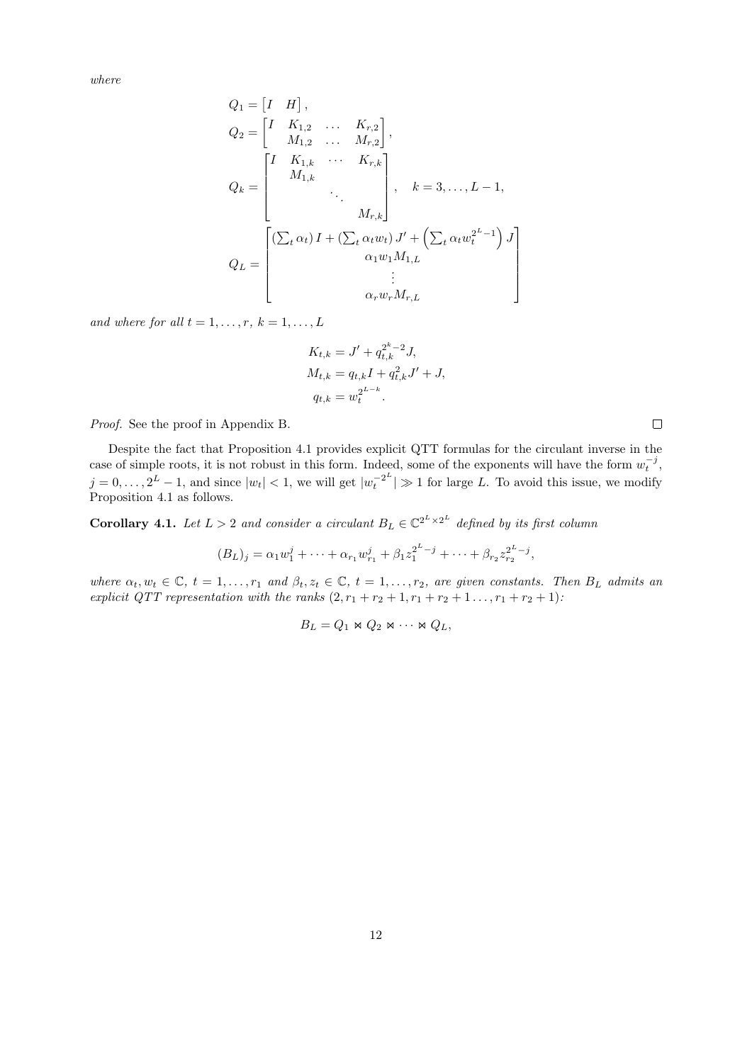where

$$
Q_{1} = \begin{bmatrix} I & H \end{bmatrix},
$$
  
\n
$$
Q_{2} = \begin{bmatrix} I & K_{1,2} & \dots & K_{r,2} \\ M_{1,2} & \dots & M_{r,2} \end{bmatrix},
$$
  
\n
$$
Q_{k} = \begin{bmatrix} I & K_{1,k} & \cdots & K_{r,k} \\ M_{1,k} & & & \\ & \ddots & & \\ & & M_{r,k} \end{bmatrix}, \quad k = 3, \dots, L - 1,
$$
  
\n
$$
Q_{L} = \begin{bmatrix} (\sum_{t} \alpha_{t}) I + (\sum_{t} \alpha_{t} w_{t}) J' + (\sum_{t} \alpha_{t} w_{t}^{2^{L}-1}) J \\ \alpha_{1} w_{1} M_{1,L} & & \\ \vdots & & \\ \alpha_{r} w_{r} M_{r,L} & \end{bmatrix}
$$

and where for all  $t = 1, \ldots, r, k = 1, \ldots, L$ 

$$
K_{t,k} = J' + q_{t,k}^{2^{k}-2} J,
$$
  
\n
$$
M_{t,k} = q_{t,k} I + q_{t,k}^{2} J' + J,
$$
  
\n
$$
q_{t,k} = w_{t}^{2^{L-k}}.
$$

Proof. See the proof in Appendix [B.](#page-21-0)

Despite the fact that Proposition [4.1](#page-10-1) provides explicit QTT formulas for the circulant inverse in the case of simple roots, it is not robust in this form. Indeed, some of the exponents will have the form  $w_t^{-j}$ ,  $j = 0, \ldots, 2^L - 1$ , and since  $|w_t| < 1$ , we will get  $|w_t^{-2^L}$  $\left| \frac{t}{t} \right|^2$   $\geq$  1 for large L. To avoid this issue, we modify Proposition [4.1](#page-10-1) as follows.

<span id="page-11-0"></span>**Corollary 4.1.** Let  $L > 2$  and consider a circulant  $B_L \in \mathbb{C}^{2^L \times 2^L}$  defined by its first column

$$
(B_L)_j = \alpha_1 w_1^j + \dots + \alpha_{r_1} w_{r_1}^j + \beta_1 z_1^{2^L - j} + \dots + \beta_{r_2} z_{r_2}^{2^L - j},
$$

where  $\alpha_t, w_t \in \mathbb{C}$ ,  $t = 1, \ldots, r_1$  and  $\beta_t, z_t \in \mathbb{C}$ ,  $t = 1, \ldots, r_2$ , are given constants. Then  $B_L$  admits an explicit QTT representation with the ranks  $(2, r_1 + r_2 + 1, r_1 + r_2 + 1, \ldots, r_1 + r_2 + 1)$ :

$$
B_L = Q_1 \bowtie Q_2 \bowtie \cdots \bowtie Q_L,
$$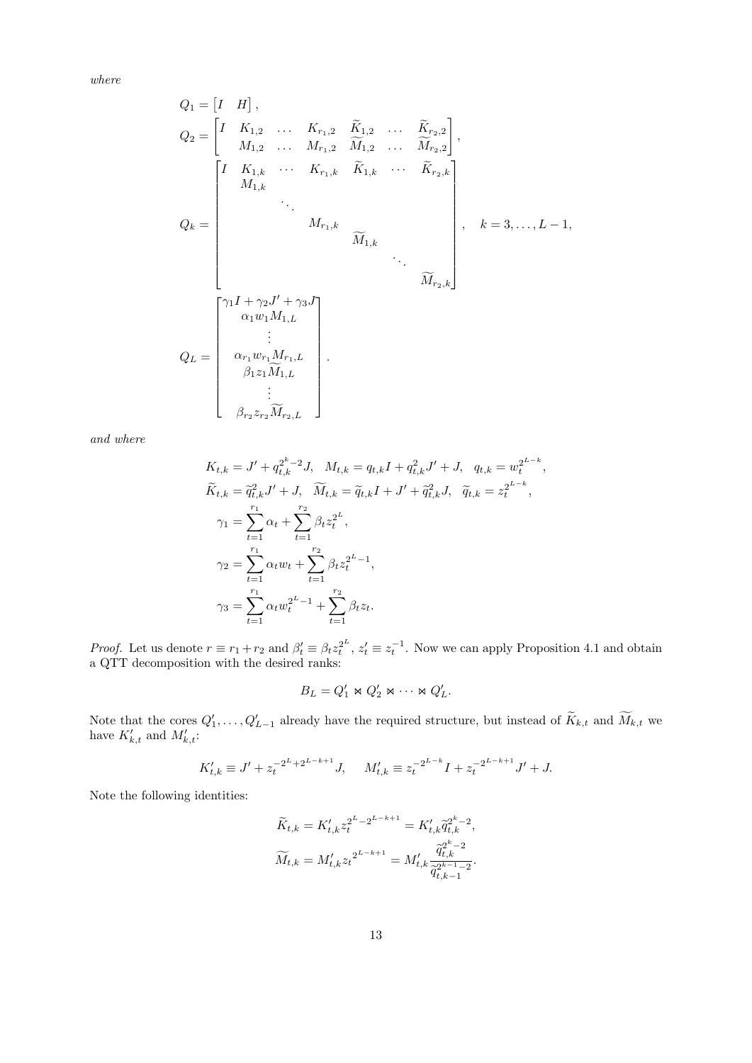where

$$
Q_{1} = \begin{bmatrix} I & H \end{bmatrix},
$$
  
\n
$$
Q_{2} = \begin{bmatrix} I & K_{1,2} & \dots & K_{r_{1,2}} & \widetilde{K}_{1,2} & \dots & \widetilde{K}_{r_{2,2}} \\ M_{1,2} & \dots & M_{r_{1,2}} & \widetilde{M}_{1,2} & \dots & \widetilde{M}_{r_{2,2}} \end{bmatrix},
$$
  
\n
$$
Q_{k} = \begin{bmatrix} I & K_{1,k} & \cdots & K_{r_{1,k}} & \widetilde{K}_{1,k} & \cdots & \widetilde{K}_{r_{2,k}} \\ \vdots & \vdots & \ddots & \vdots & \vdots \\ M_{r_{1,k}} & \widetilde{M}_{1,k} & \cdots & \widetilde{M}_{r_{2,k}} \end{bmatrix}, \quad k = 3, \dots, L - 1,
$$
  
\n
$$
Q_{L} = \begin{bmatrix} \gamma_{1}I + \gamma_{2}J' + \gamma_{3}J \\ \vdots \\ \gamma_{1}w_{1}M_{1,L} \\ \vdots \\ \beta_{1}z_{1}\widetilde{M}_{1,L} \\ \vdots \\ \beta_{r_{2}}z_{r_{2}}\widetilde{M}_{r_{2,L}} \end{bmatrix}.
$$

and where

$$
K_{t,k} = J' + q_{t,k}^{2^{k}-2} J, \quad M_{t,k} = q_{t,k} I + q_{t,k}^{2} J' + J, \quad q_{t,k} = w_{t}^{2^{L-k}},
$$
  
\n
$$
\widetilde{K}_{t,k} = \widetilde{q}_{t,k}^{2} J' + J, \quad \widetilde{M}_{t,k} = \widetilde{q}_{t,k} I + J' + \widetilde{q}_{t,k}^{2} J, \quad \widetilde{q}_{t,k} = z_{t}^{2^{L-k}},
$$
  
\n
$$
\gamma_{1} = \sum_{t=1}^{r_{1}} \alpha_{t} + \sum_{t=1}^{r_{2}} \beta_{t} z_{t}^{2^{L}},
$$
  
\n
$$
\gamma_{2} = \sum_{t=1}^{r_{1}} \alpha_{t} w_{t} + \sum_{t=1}^{r_{2}} \beta_{t} z_{t}^{2^{L}-1},
$$
  
\n
$$
\gamma_{3} = \sum_{t=1}^{r_{1}} \alpha_{t} w_{t}^{2^{L}-1} + \sum_{t=1}^{r_{2}} \beta_{t} z_{t}.
$$

*Proof.* Let us denote  $r \equiv r_1 + r_2$  and  $\beta'_t \equiv \beta_t z_t^{2^L}, z'_t \equiv z_t^{-1}$ . Now we can apply Proposition [4.1](#page-10-1) and obtain a QTT decomposition with the desired ranks:

$$
B_L=Q_1'\bowtie Q_2'\bowtie \cdots \bowtie Q_L'.
$$

Note that the cores  $Q'_1, \ldots, Q'_{L-1}$  already have the required structure, but instead of  $\widetilde{K}_{k,t}$  and  $\widetilde{M}_{k,t}$  we have  $K'_{k,t}$  and  $M'_{k,t}$ :

$$
K'_{t,k} \equiv J' + z_t^{-2^{L} + 2^{L-k+1}} J, \quad M'_{t,k} \equiv z_t^{-2^{L-k}} I + z_t^{-2^{L-k+1}} J' + J.
$$

Note the following identities:

$$
\begin{aligned} \widetilde{K}_{t,k} &= K'_{t,k} z_t^{2^L - 2^{L-k+1}} = K'_{t,k} \widetilde{q}_{t,k}^{2^k - 2}, \\ \widetilde{M}_{t,k} &= M'_{t,k} z_t^{2^{L-k+1}} = M'_{t,k} \frac{\widetilde{q}_{t,k}^{2^k - 2}}{\widetilde{q}_{t,k-1}^{2^k - 1} - 2}. \end{aligned}
$$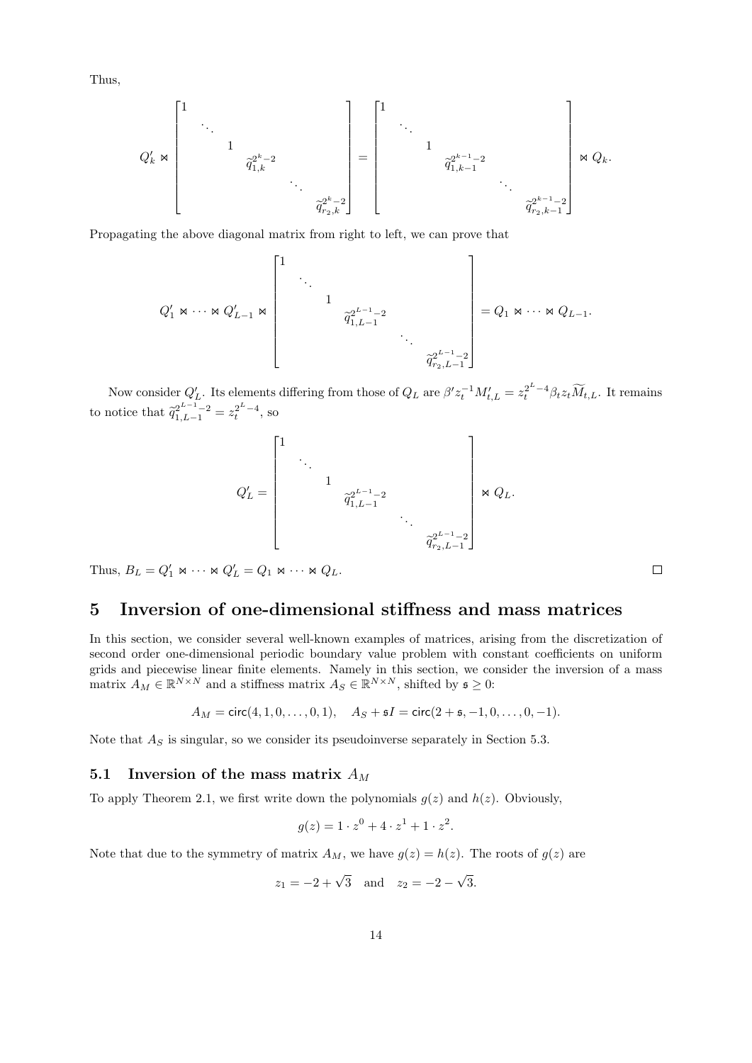Thus,

$$
Q'_{k} \Join \begin{bmatrix} 1 & & & & & & \\ & \ddots & & & & & \\ & & 1 & & & & \\ & & & \hat{q}_{1,k}^{2^{k}-2} & & \\ & & & & \ddots & \\ & & & & & \hat{q}_{r_{2},k}^{2^{k}-2} \end{bmatrix} = \begin{bmatrix} 1 & & & & & & \\ & \ddots & & & & & \\ & & 1 & & & & \\ & & & \hat{q}_{1,k-1}^{2^{k-1}-2} & & \\ & & & & \ddots & \\ & & & & & \hat{q}_{r_{2},k-1}^{2^{k-1}-2} \end{bmatrix} \Join Q_{k}.
$$

Propagating the above diagonal matrix from right to left, we can prove that

$$
Q'_{1} \Join \cdots \Join Q'_{L-1} \Join \begin{bmatrix} 1 & & & & & & \\ & \ddots & & & & & \\ & & 1 & & & & \\ & & & \tilde{q}_{1,L-1}^{2^{L-1}-2} & & & \\ & & & & \ddots & & \\ & & & & & & \tilde{q}_{r_{2},L-1}^{2^{L-1}-2} \end{bmatrix} = Q_{1} \Join \cdots \Join Q_{L-1}.
$$

Now consider  $Q'_{L}$ . Its elements differing from those of  $Q_{L}$  are  $\beta' z_t^{-1} M'_{t,L} = z_t^{2^L-4} \beta_t z_t \widetilde{M}_{t,L}$ . It remains to notice that  $\tilde{q}_{1,L-1}^{2^{L-1}-2} = z_t^{2^L-4}$ , so

$$
Q_L' = \begin{bmatrix} 1 & & & & & & \\ & \ddots & & & & & \\ & & 1 & & & & \\ & & & \hat{q}_{1,L-1}^{2^{L-1}-2} & & \\ & & & & \ddots & \\ & & & & & \hat{q}_{r_2,L-1}^{2^{L-1}-2} \end{bmatrix} \Join Q_L.
$$

Thus,  $B_L = Q'_1 \Join \cdots \Join Q'_L = Q_1 \Join \cdots \Join Q_L$ .

### <span id="page-13-0"></span>5 Inversion of one-dimensional stiffness and mass matrices

In this section, we consider several well-known examples of matrices, arising from the discretization of second order one-dimensional periodic boundary value problem with constant coefficients on uniform grids and piecewise linear finite elements. Namely in this section, we consider the inversion of a mass matrix  $A_M \in \mathbb{R}^{N \times N}$  and a stiffness matrix  $A_S \in \mathbb{R}^{N \times N}$ , shifted by  $\mathfrak{s} \geq 0$ :

$$
A_M = \text{circ}(4, 1, 0, \dots, 0, 1), \quad A_S + \mathfrak{s}I = \text{circ}(2 + \mathfrak{s}, -1, 0, \dots, 0, -1).
$$

Note that  $A<sub>S</sub>$  is singular, so we consider its pseudoinverse separately in Section [5.3.](#page-14-0)

### 5.1 Inversion of the mass matrix  $A_M$

To apply Theorem [2.1,](#page-4-0) we first write down the polynomials  $g(z)$  and  $h(z)$ . Obviously,

$$
g(z) = 1 \cdot z^0 + 4 \cdot z^1 + 1 \cdot z^2.
$$

Note that due to the symmetry of matrix  $A_M$ , we have  $g(z) = h(z)$ . The roots of  $g(z)$  are

$$
z_1 = -2 + \sqrt{3}
$$
 and  $z_2 = -2 - \sqrt{3}$ .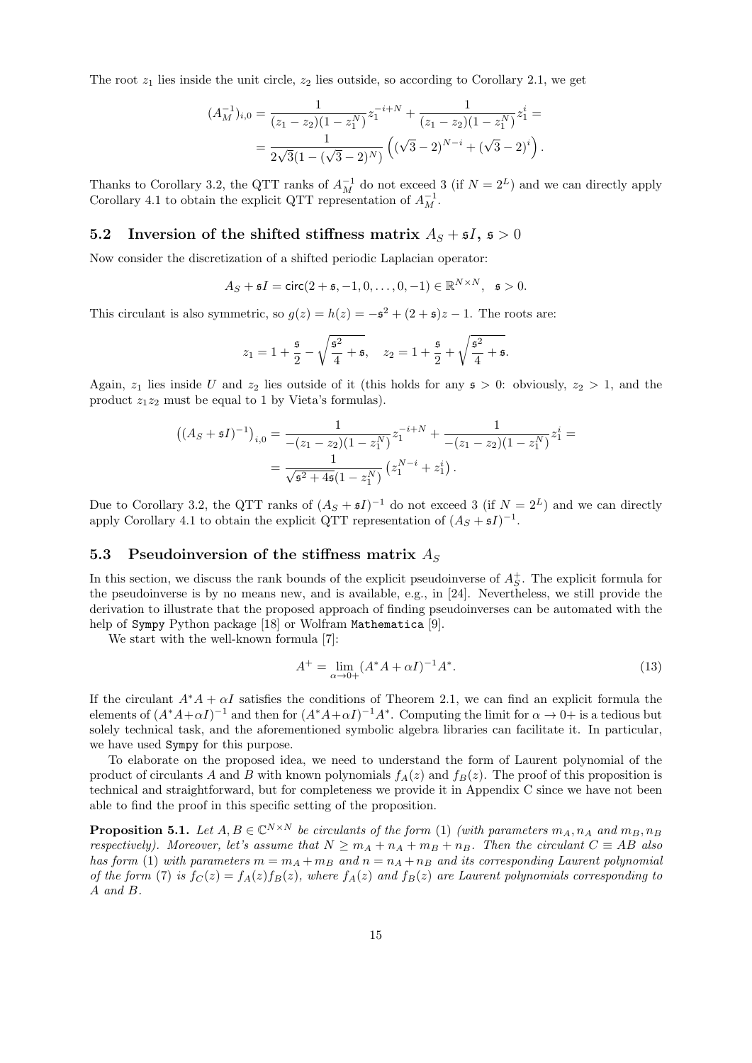The root  $z_1$  lies inside the unit circle,  $z_2$  lies outside, so according to Corollary [2.1,](#page-6-0) we get

$$
(A_M^{-1})_{i,0} = \frac{1}{(z_1 - z_2)(1 - z_1^N)} z_1^{-i+N} + \frac{1}{(z_1 - z_2)(1 - z_1^N)} z_1^i =
$$
  
= 
$$
\frac{1}{2\sqrt{3}(1 - (\sqrt{3} - 2)^N)} \left( (\sqrt{3} - 2)^{N-i} + (\sqrt{3} - 2)^i \right).
$$

Thanks to Corollary [3.2,](#page-8-1) the QTT ranks of  $A_M^{-1}$  do not exceed 3 (if  $N = 2^L$ ) and we can directly apply Corollary [4.1](#page-11-0) to obtain the explicit QTT representation of  $A_M^{-1}$ .

#### <span id="page-14-2"></span>5.2 Inversion of the shifted stiffness matrix  $A<sub>S</sub> + 5I$ ,  $5 > 0$

Now consider the discretization of a shifted periodic Laplacian operator:

$$
A_S + \mathfrak{s}I = \text{circ}(2 + \mathfrak{s}, -1, 0, \dots, 0, -1) \in \mathbb{R}^{N \times N}, \quad \mathfrak{s} > 0.
$$

This circulant is also symmetric, so  $g(z) = h(z) = -\mathfrak{s}^2 + (2 + \mathfrak{s})z - 1$ . The roots are:

$$
z_1 = 1 + \frac{5}{2} - \sqrt{\frac{5^2}{4} + 5}
$$
,  $z_2 = 1 + \frac{5}{2} + \sqrt{\frac{5^2}{4} + 5}$ .

Again,  $z_1$  lies inside U and  $z_2$  lies outside of it (this holds for any  $s > 0$ : obviously,  $z_2 > 1$ , and the product  $z_1z_2$  must be equal to 1 by Vieta's formulas).

$$
((AS + sI)-1)i,0 = \frac{1}{-(z1 - z2)(1 - z1N)} z1-i+N + \frac{1}{-(z1 - z2)(1 - z1N)} z1i = \frac{1}{\sqrt{s2 + 4\bar{s}(1 - z1N)} (z1N-i + z1i).
$$

Due to Corollary [3.2,](#page-8-1) the QTT ranks of  $(A<sub>S</sub> + 5I)^{-1}$  do not exceed 3 (if  $N = 2<sup>L</sup>$ ) and we can directly apply Corollary [4.1](#page-11-0) to obtain the explicit QTT representation of  $(A<sub>S</sub> + 5I)^{-1}$ .

#### <span id="page-14-0"></span>5.3 Pseudoinversion of the stiffness matrix  $A_S$

In this section, we discuss the rank bounds of the explicit pseudoinverse of  $A_S^+$ . The explicit formula for the pseudoinverse is by no means new, and is available, e.g., in [\[24\]](#page-19-14). Nevertheless, we still provide the derivation to illustrate that the proposed approach of finding pseudoinverses can be automated with the help of Sympy Python package [\[18\]](#page-19-15) or Wolfram Mathematica [\[9\]](#page-18-9).

We start with the well-known formula [\[7\]](#page-18-10):

<span id="page-14-1"></span>
$$
A^{+} = \lim_{\alpha \to 0+} (A^* A + \alpha I)^{-1} A^*.
$$
\n(13)

If the circulant  $A^*A + \alpha I$  satisfies the conditions of Theorem [2.1,](#page-4-0) we can find an explicit formula the elements of  $(A^*A+\alpha I)^{-1}$  and then for  $(A^*A+\alpha I)^{-1}A^*$ . Computing the limit for  $\alpha \to 0+$  is a tedious but solely technical task, and the aforementioned symbolic algebra libraries can facilitate it. In particular, we have used Sympy for this purpose.

To elaborate on the proposed idea, we need to understand the form of Laurent polynomial of the product of circulants A and B with known polynomials  $f_A(z)$  and  $f_B(z)$ . The proof of this proposition is technical and straightforward, but for completeness we provide it in Appendix [C](#page-23-0) since we have not been able to find the proof in this specific setting of the proposition.

<span id="page-14-3"></span>**Proposition 5.1.** Let  $A, B \in \mathbb{C}^{N \times N}$  be circulants of the form [\(1\)](#page-0-0) (with parameters  $m_A, n_A$  and  $m_B, n_B$ ) respectively). Moreover, let's assume that  $N \geq m_A + n_A + m_B + n_B$ . Then the circulant  $C \equiv AB$  also has form [\(1\)](#page-0-0) with parameters  $m = m_A + m_B$  and  $n = n_A + n_B$  and its corresponding Laurent polynomial of the form [\(7\)](#page-3-3) is  $f_C(z) = f_A(z) f_B(z)$ , where  $f_A(z)$  and  $f_B(z)$  are Laurent polynomials corresponding to A and B.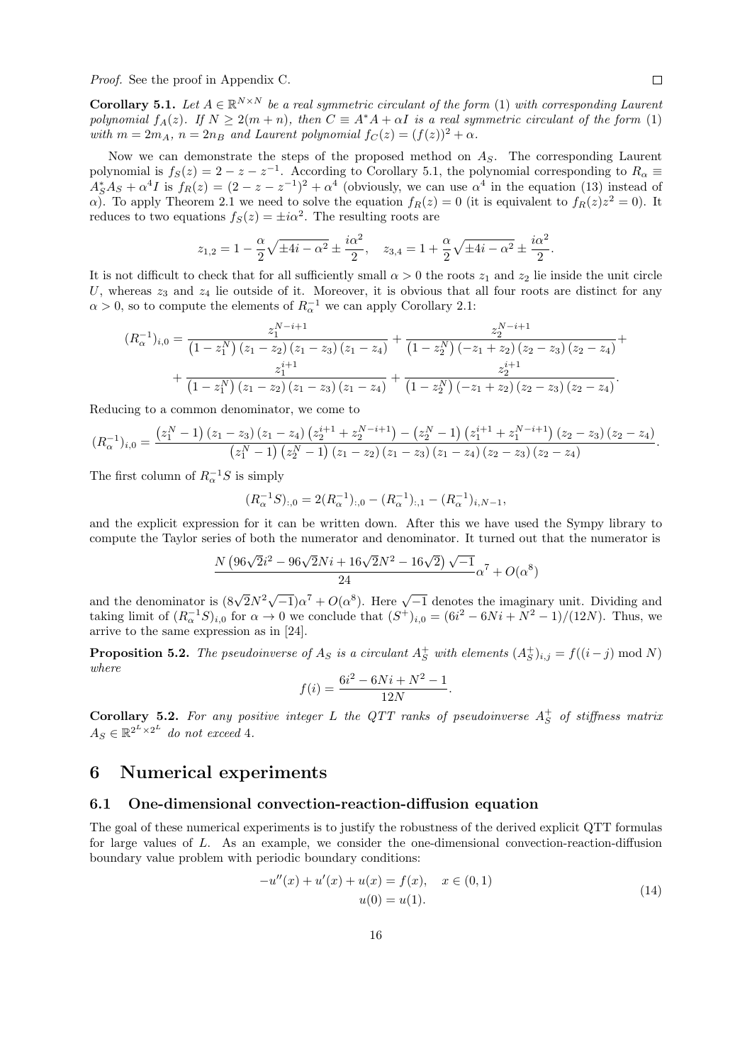Proof. See the proof in Appendix [C.](#page-23-0)

<span id="page-15-1"></span>**Corollary 5.1.** Let  $A \in \mathbb{R}^{N \times N}$  be a real symmetric circulant of the form [\(1\)](#page-0-0) with corresponding Laurent polynomial  $f_A(z)$ . If  $N \geq 2(m+n)$ , then  $C \equiv A^*A + \alpha I$  is a real symmetric circulant of the form [\(1\)](#page-0-0) with  $m = 2m_A$ ,  $n = 2n_B$  and Laurent polynomial  $f_C(z) = (f(z))^2 + \alpha$ .

Now we can demonstrate the steps of the proposed method on  $A<sub>S</sub>$ . The corresponding Laurent polynomial is  $f_S(z) = 2 - z - z^{-1}$ . According to Corollary [5.1,](#page-15-1) the polynomial corresponding to  $R_\alpha \equiv$  $A_{S}^{*}A_{S} + \alpha^{4}I$  is  $f_{R}(z) = (2 - z - z^{-1})^{2} + \alpha^{4}$  (obviously, we can use  $\alpha^{4}$  in the equation [\(13\)](#page-14-1) instead of  $\alpha$ ). To apply Theorem [2.1](#page-4-0) we need to solve the equation  $f_R(z) = 0$  (it is equivalent to  $f_R(z)z^2 = 0$ ). It reduces to two equations  $f_S(z) = \pm i\alpha^2$ . The resulting roots are

$$
z_{1,2} = 1 - \frac{\alpha}{2} \sqrt{\pm 4i - \alpha^2} \pm \frac{i\alpha^2}{2}, \quad z_{3,4} = 1 + \frac{\alpha}{2} \sqrt{\pm 4i - \alpha^2} \pm \frac{i\alpha^2}{2}.
$$

It is not difficult to check that for all sufficiently small  $\alpha > 0$  the roots  $z_1$  and  $z_2$  lie inside the unit circle U, whereas  $z_3$  and  $z_4$  lie outside of it. Moreover, it is obvious that all four roots are distinct for any  $\alpha > 0$ , so to compute the elements of  $R_{\alpha}^{-1}$  we can apply Corollary [2.1:](#page-6-0)

$$
(R_{\alpha}^{-1})_{i,0} = \frac{z_1^{N-i+1}}{(1-z_1^N)(z_1-z_2)(z_1-z_3)(z_1-z_4)} + \frac{z_2^{N-i+1}}{(1-z_2^N)(-z_1+z_2)(z_2-z_3)(z_2-z_4)} + \frac{z_1^{i+1}}{(1-z_1^N)(z_1-z_2)(z_1-z_3)(z_1-z_4)} + \frac{z_2^{i+1}}{(1-z_2^N)(-z_1+z_2)(z_2-z_3)(z_2-z_4)}.
$$

Reducing to a common denominator, we come to

$$
(R_{\alpha}^{-1})_{i,0} = \frac{(z_1^N - 1)(z_1 - z_3)(z_1 - z_4)(z_2^{i+1} + z_2^{N-i+1}) - (z_2^N - 1)(z_1^{i+1} + z_1^{N-i+1})(z_2 - z_3)(z_2 - z_4)}{(z_1^N - 1)(z_2^N - 1)(z_1 - z_2)(z_1 - z_3)(z_1 - z_4)(z_2 - z_3)(z_2 - z_4)}.
$$

The first column of  $R_{\alpha}^{-1}S$  is simply

$$
(R_{\alpha}^{-1}S)_{:,0} = 2(R_{\alpha}^{-1})_{:,0} - (R_{\alpha}^{-1})_{:,1} - (R_{\alpha}^{-1})_{i,N-1},
$$

and the explicit expression for it can be written down. After this we have used the Sympy library to compute the Taylor series of both the numerator and denominator. It turned out that the numerator is

$$
\frac{N (96\sqrt{2}i^2 - 96\sqrt{2}Ni + 16\sqrt{2}N^2 - 16\sqrt{2})\sqrt{-1}}{24}\alpha^7 + O(\alpha^8)
$$

and the denominator is  $(8\sqrt{2}N^2\sqrt{-1})\alpha^7 + O(\alpha^8)$ . Here  $\sqrt{-1}$  denotes the imaginary unit. Dividing and taking limit of  $(R_{\alpha}^{-1}S)_{i,0}$  for  $\alpha \to 0$  we conclude that  $(S^+)_{i,0} = (6i^2 - 6Ni + N^2 - 1)/(12N)$ . Thus, we arrive to the same expression as in [\[24\]](#page-19-14).

**Proposition 5.2.** The pseudoinverse of  $A_S$  is a circulant  $A_S^+$  with elements  $(A_S^+)_{i,j} = f((i - j) \mod N)$ where

$$
f(i) = \frac{6i^2 - 6Ni + N^2 - 1}{12N}
$$

**Corollary 5.2.** For any positive integer L the QTT ranks of pseudoinverse  $A_S^+$  of stiffness matrix  $A_S \in \mathbb{R}^{2^L \times 2^L}$  do not exceed 4.

### <span id="page-15-0"></span>6 Numerical experiments

#### 6.1 One-dimensional convection-reaction-diffusion equation

The goal of these numerical experiments is to justify the robustness of the derived explicit QTT formulas for large values of L. As an example, we consider the one-dimensional convection-reaction-diffusion boundary value problem with periodic boundary conditions:

<span id="page-15-2"></span>
$$
-u''(x) + u'(x) + u(x) = f(x), \quad x \in (0, 1)
$$
  
 
$$
u(0) = u(1).
$$
 (14)

.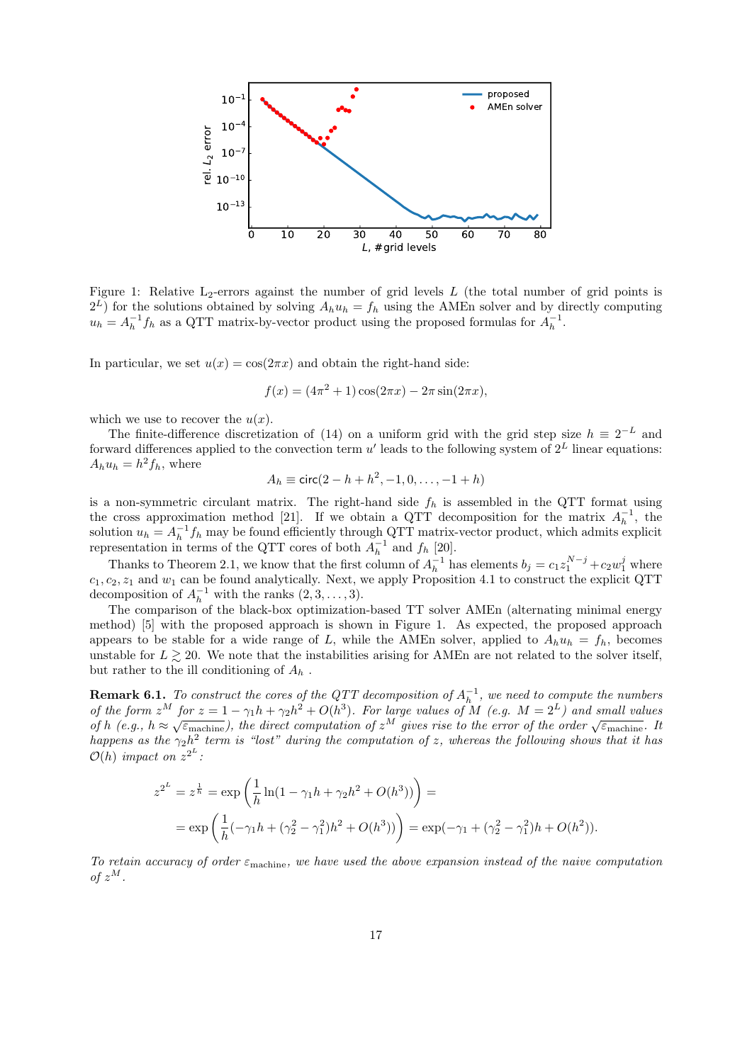

<span id="page-16-0"></span>Figure 1: Relative  $L_2$ -errors against the number of grid levels  $L$  (the total number of grid points is  $2^L$ ) for the solutions obtained by solving  $A_h u_h = f_h$  using the AMEn solver and by directly computing  $u_h = A_h^{-1} f_h$  as a QTT matrix-by-vector product using the proposed formulas for  $A_h^{-1}$ .

In particular, we set  $u(x) = \cos(2\pi x)$  and obtain the right-hand side:

$$
f(x) = (4\pi^2 + 1)\cos(2\pi x) - 2\pi \sin(2\pi x),
$$

which we use to recover the  $u(x)$ .

The finite-difference discretization of [\(14\)](#page-15-2) on a uniform grid with the grid step size  $h \equiv 2^{-L}$  and forward differences applied to the convection term u' leads to the following system of  $2^L$  linear equations:  $A_h u_h = h^2 f_h$ , where

$$
A_h \equiv \text{circ}(2 - h + h^2, -1, 0, \dots, -1 + h)
$$

is a non-symmetric circulant matrix. The right-hand side  $f_h$  is assembled in the QTT format using the cross approximation method [\[21\]](#page-19-16). If we obtain a QTT decomposition for the matrix  $A_h^{-1}$ , the solution  $u_h = A_h^{-1} f_h$  may be found efficiently through QTT matrix-vector product, which admits explicit representation in terms of the QTT cores of both  $A_h^{-1}$  and  $f_h$  [\[20\]](#page-19-0).

Thanks to Theorem [2.1,](#page-4-0) we know that the first column of  $A_h^{-1}$  has elements  $b_j = c_1 z_1^{N-j} + c_2 w_1^j$  where  $c_1, c_2, z_1$  and  $w_1$  can be found analytically. Next, we apply Proposition [4.1](#page-11-0) to construct the explicit QTT decomposition of  $A_h^{-1}$  with the ranks  $(2, 3, \ldots, 3)$ .

The comparison of the black-box optimization-based TT solver AMEn (alternating minimal energy method) [\[5\]](#page-18-0) with the proposed approach is shown in Figure [1.](#page-16-0) As expected, the proposed approach appears to be stable for a wide range of L, while the AMEn solver, applied to  $A_h u_h = f_h$ , becomes unstable for  $L \ge 20$ . We note that the instabilities arising for AMEn are not related to the solver itself, but rather to the ill conditioning of  $A_h$ .

**Remark 6.1.** To construct the cores of the QTT decomposition of  $A_h^{-1}$ , we need to compute the numbers of the form  $z^M$  for  $z = 1 - \gamma_1 h + \gamma_2 h^2 + O(h^3)$ . For large values of M (e.g.  $M = 2^L$ ) and small values of h (e.g.,  $h \approx \sqrt{\varepsilon_{\text{machine}}},$  the direct computation of  $z^M$  gives rise to the error of the order  $\sqrt{\varepsilon_{\text{machine}}}$ . It happens as the  $\gamma_2 h^2$  term is "lost" during the computation of z, whereas the following shows that it has  $\mathcal{O}(h)$  impact on  $z^{2^L}$ :

$$
z^{2^{L}} = z^{\frac{1}{h}} = \exp\left(\frac{1}{h}\ln(1-\gamma_1h+\gamma_2h^2+O(h^3))\right) =
$$
  
= 
$$
\exp\left(\frac{1}{h}(-\gamma_1h+(\gamma_2^2-\gamma_1^2)h^2+O(h^3))\right) = \exp(-\gamma_1+(\gamma_2^2-\gamma_1^2)h+O(h^2)).
$$

To retain accuracy of order  $\varepsilon_{\text{machine}}$ , we have used the above expansion instead of the naive computation of  $z^M$ .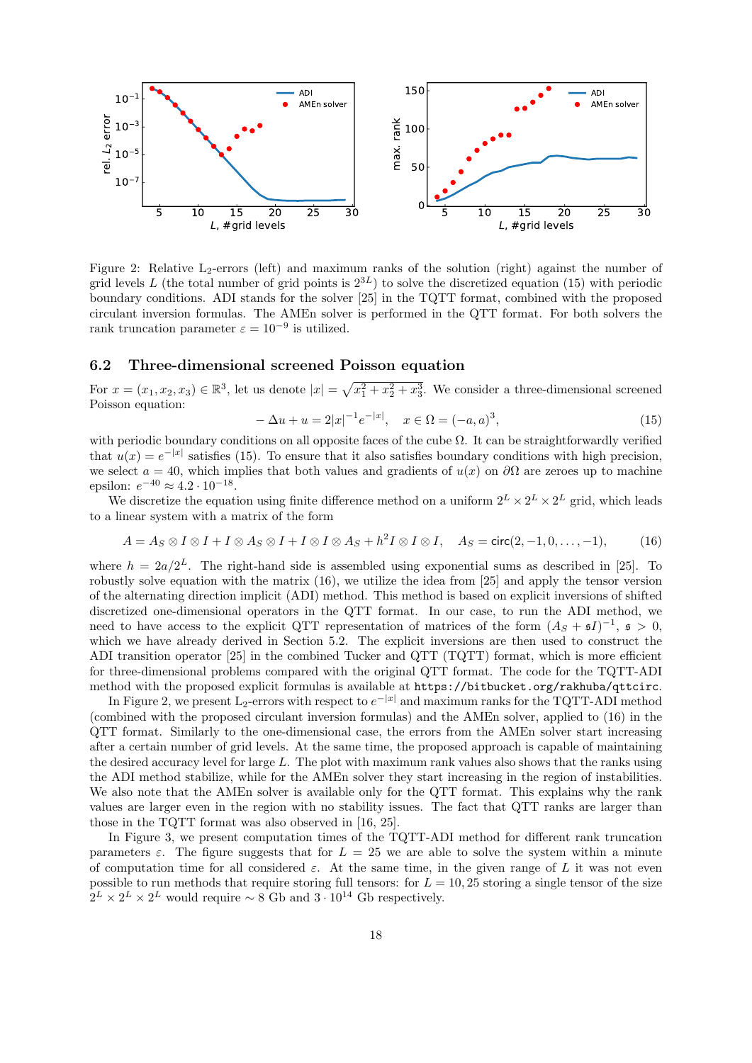

<span id="page-17-2"></span>Figure 2: Relative L<sub>2</sub>-errors (left) and maximum ranks of the solution (right) against the number of grid levels L (the total number of grid points is  $2^{3L}$ ) to solve the discretized equation [\(15\)](#page-17-0) with periodic boundary conditions. ADI stands for the solver [\[25\]](#page-19-11) in the TQTT format, combined with the proposed circulant inversion formulas. The AMEn solver is performed in the QTT format. For both solvers the rank truncation parameter  $\varepsilon = 10^{-9}$  is utilized.

#### 6.2 Three-dimensional screened Poisson equation

For  $x = (x_1, x_2, x_3) \in \mathbb{R}^3$ , let us denote  $|x| = \sqrt{x_1^2 + x_2^2 + x_3^3}$ . We consider a three-dimensional screened Poisson equation:

<span id="page-17-0"></span>
$$
-\Delta u + u = 2|x|^{-1}e^{-|x|}, \quad x \in \Omega = (-a, a)^3,
$$
\n(15)

with periodic boundary conditions on all opposite faces of the cube  $\Omega$ . It can be straightforwardly verified that  $u(x) = e^{-|x|}$  satisfies [\(15\)](#page-17-0). To ensure that it also satisfies boundary conditions with high precision, we select  $a = 40$ , which implies that both values and gradients of  $u(x)$  on  $\partial\Omega$  are zeroes up to machine epsilon:  $e^{-40} \approx 4.2 \cdot 10^{-18}$ .

We discretize the equation using finite difference method on a uniform  $2^L \times 2^L \times 2^L$  grid, which leads to a linear system with a matrix of the form

<span id="page-17-1"></span>
$$
A = A_S \otimes I \otimes I + I \otimes A_S \otimes I + I \otimes I \otimes A_S + h^2 I \otimes I \otimes I, \quad A_S = \text{circ}(2, -1, 0, \dots, -1), \tag{16}
$$

where  $h = 2a/2<sup>L</sup>$ . The right-hand side is assembled using exponential sums as described in [\[25\]](#page-19-11). To robustly solve equation with the matrix [\(16\)](#page-17-1), we utilize the idea from [\[25\]](#page-19-11) and apply the tensor version of the alternating direction implicit (ADI) method. This method is based on explicit inversions of shifted discretized one-dimensional operators in the QTT format. In our case, to run the ADI method, we need to have access to the explicit QTT representation of matrices of the form  $(A<sub>S</sub> + 5I)^{-1}$ ,  $\mathfrak{s} > 0$ , which we have already derived in Section [5.2.](#page-14-2) The explicit inversions are then used to construct the ADI transition operator [\[25\]](#page-19-11) in the combined Tucker and QTT (TQTT) format, which is more efficient for three-dimensional problems compared with the original QTT format. The code for the TQTT-ADI method with the proposed explicit formulas is available at <https://bitbucket.org/rakhuba/qttcirc>.

In Figure [2,](#page-17-2) we present L<sub>2</sub>-errors with respect to  $e^{-|x|}$  and maximum ranks for the TQTT-ADI method (combined with the proposed circulant inversion formulas) and the AMEn solver, applied to [\(16\)](#page-17-1) in the QTT format. Similarly to the one-dimensional case, the errors from the AMEn solver start increasing after a certain number of grid levels. At the same time, the proposed approach is capable of maintaining the desired accuracy level for large L. The plot with maximum rank values also shows that the ranks using the ADI method stabilize, while for the AMEn solver they start increasing in the region of instabilities. We also note that the AMEn solver is available only for the QTT format. This explains why the rank values are larger even in the region with no stability issues. The fact that QTT ranks are larger than those in the TQTT format was also observed in [\[16,](#page-19-12) [25\]](#page-19-11).

In Figure [3,](#page-18-11) we present computation times of the TQTT-ADI method for different rank truncation parameters  $\varepsilon$ . The figure suggests that for  $L = 25$  we are able to solve the system within a minute of computation time for all considered  $\varepsilon$ . At the same time, in the given range of L it was not even possible to run methods that require storing full tensors: for  $L = 10, 25$  storing a single tensor of the size  $2^L \times 2^L \times 2^L$  would require ~ 8 Gb and  $3 \cdot 10^{14}$  Gb respectively.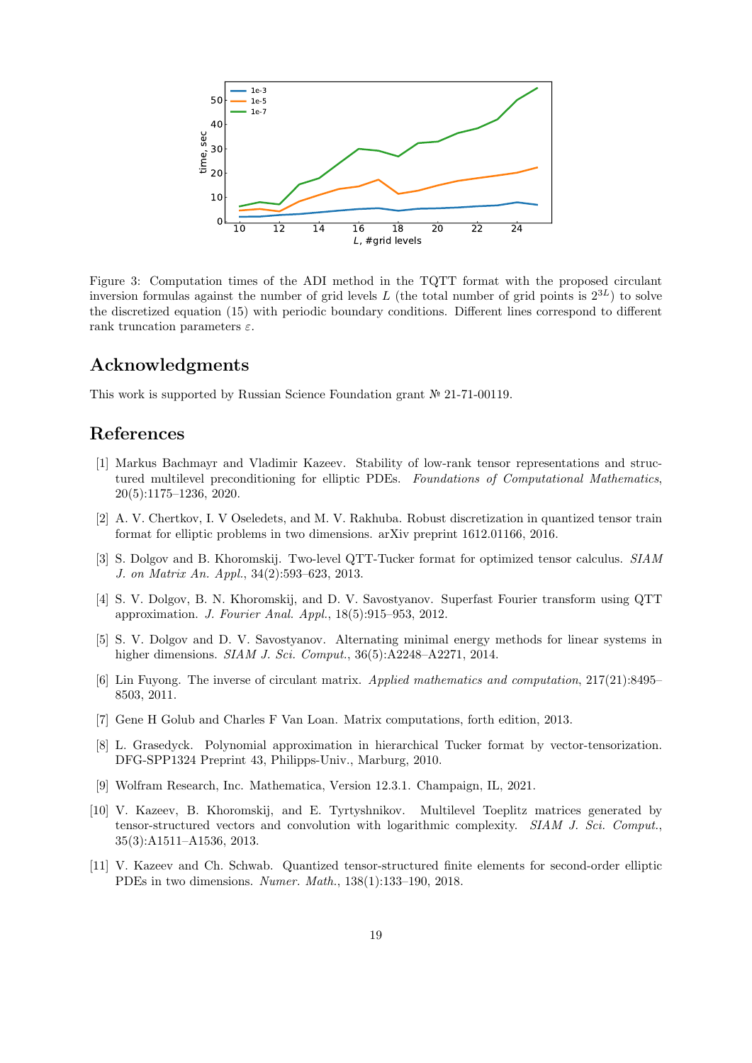

<span id="page-18-11"></span>Figure 3: Computation times of the ADI method in the TQTT format with the proposed circulant inversion formulas against the number of grid levels L (the total number of grid points is  $2^{3L}$ ) to solve the discretized equation [\(15\)](#page-17-0) with periodic boundary conditions. Different lines correspond to different rank truncation parameters  $\varepsilon$ .

# Acknowledgments

This work is supported by Russian Science Foundation grant № 21-71-00119.

# References

- <span id="page-18-8"></span>[1] Markus Bachmayr and Vladimir Kazeev. Stability of low-rank tensor representations and structured multilevel preconditioning for elliptic PDEs. Foundations of Computational Mathematics, 20(5):1175–1236, 2020.
- <span id="page-18-7"></span>[2] A. V. Chertkov, I. V Oseledets, and M. V. Rakhuba. Robust discretization in quantized tensor train format for elliptic problems in two dimensions. arXiv preprint 1612.01166, 2016.
- <span id="page-18-3"></span>[3] S. Dolgov and B. Khoromskij. Two-level QTT-Tucker format for optimized tensor calculus. SIAM J. on Matrix An. Appl., 34(2):593–623, 2013.
- <span id="page-18-5"></span>[4] S. V. Dolgov, B. N. Khoromskij, and D. V. Savostyanov. Superfast Fourier transform using QTT approximation. J. Fourier Anal. Appl., 18(5):915–953, 2012.
- <span id="page-18-0"></span>[5] S. V. Dolgov and D. V. Savostyanov. Alternating minimal energy methods for linear systems in higher dimensions. *SIAM J. Sci. Comput.*, 36(5):A2248-A2271, 2014.
- <span id="page-18-1"></span>[6] Lin Fuyong. The inverse of circulant matrix. Applied mathematics and computation, 217(21):8495– 8503, 2011.
- <span id="page-18-10"></span>[7] Gene H Golub and Charles F Van Loan. Matrix computations, forth edition, 2013.
- <span id="page-18-4"></span>[8] L. Grasedyck. Polynomial approximation in hierarchical Tucker format by vector-tensorization. DFG-SPP1324 Preprint 43, Philipps-Univ., Marburg, 2010.
- <span id="page-18-9"></span>[9] Wolfram Research, Inc. Mathematica, Version 12.3.1. Champaign, IL, 2021.
- <span id="page-18-2"></span>[10] V. Kazeev, B. Khoromskij, and E. Tyrtyshnikov. Multilevel Toeplitz matrices generated by tensor-structured vectors and convolution with logarithmic complexity. SIAM J. Sci. Comput., 35(3):A1511–A1536, 2013.
- <span id="page-18-6"></span>[11] V. Kazeev and Ch. Schwab. Quantized tensor-structured finite elements for second-order elliptic PDEs in two dimensions. Numer. Math., 138(1):133–190, 2018.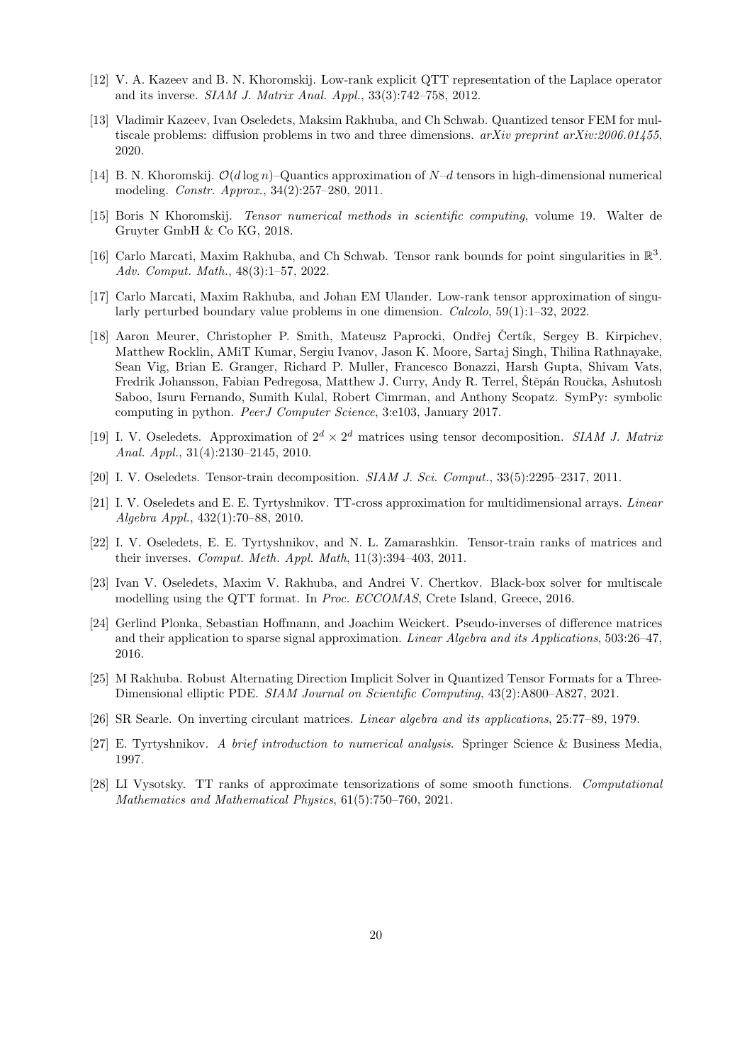- <span id="page-19-4"></span>[12] V. A. Kazeev and B. N. Khoromskij. Low-rank explicit QTT representation of the Laplace operator and its inverse. SIAM J. Matrix Anal. Appl., 33(3):742–758, 2012.
- <span id="page-19-9"></span>[13] Vladimir Kazeev, Ivan Oseledets, Maksim Rakhuba, and Ch Schwab. Quantized tensor FEM for multiscale problems: diffusion problems in two and three dimensions.  $arXiv$  preprint  $arXiv:2006.01455$ . 2020.
- <span id="page-19-2"></span>[14] B. N. Khoromskij.  $\mathcal{O}(d \log n)$ –Quantics approximation of  $N-d$  tensors in high-dimensional numerical modeling. Constr. Approx., 34(2):257–280, 2011.
- <span id="page-19-3"></span>[15] Boris N Khoromskij. Tensor numerical methods in scientific computing, volume 19. Walter de Gruyter GmbH & Co KG, 2018.
- <span id="page-19-12"></span>[16] Carlo Marcati, Maxim Rakhuba, and Ch Schwab. Tensor rank bounds for point singularities in  $\mathbb{R}^3$ . Adv. Comput. Math., 48(3):1–57, 2022.
- <span id="page-19-10"></span>[17] Carlo Marcati, Maxim Rakhuba, and Johan EM Ulander. Low-rank tensor approximation of singularly perturbed boundary value problems in one dimension. Calcolo, 59(1):1–32, 2022.
- <span id="page-19-15"></span>[18] Aaron Meurer, Christopher P. Smith, Mateusz Paprocki, Ondřej Čertík, Sergey B. Kirpichev, Matthew Rocklin, AMiT Kumar, Sergiu Ivanov, Jason K. Moore, Sartaj Singh, Thilina Rathnayake, Sean Vig, Brian E. Granger, Richard P. Muller, Francesco Bonazzi, Harsh Gupta, Shivam Vats, Fredrik Johansson, Fabian Pedregosa, Matthew J. Curry, Andy R. Terrel, Štěpán Roučka, Ashutosh Saboo, Isuru Fernando, Sumith Kulal, Robert Cimrman, and Anthony Scopatz. SymPy: symbolic computing in python. PeerJ Computer Science, 3:e103, January 2017.
- <span id="page-19-1"></span>[19] I. V. Oseledets. Approximation of  $2^d \times 2^d$  matrices using tensor decomposition. SIAM J. Matrix Anal. Appl., 31(4):2130–2145, 2010.
- <span id="page-19-0"></span>[20] I. V. Oseledets. Tensor-train decomposition. SIAM J. Sci. Comput., 33(5):2295–2317, 2011.
- <span id="page-19-16"></span>[21] I. V. Oseledets and E. E. Tyrtyshnikov. TT-cross approximation for multidimensional arrays. Linear Algebra Appl., 432(1):70–88, 2010.
- <span id="page-19-7"></span>[22] I. V. Oseledets, E. E. Tyrtyshnikov, and N. L. Zamarashkin. Tensor-train ranks of matrices and their inverses. Comput. Meth. Appl. Math,  $11(3):394-403$ ,  $2011$ .
- <span id="page-19-8"></span>[23] Ivan V. Oseledets, Maxim V. Rakhuba, and Andrei V. Chertkov. Black-box solver for multiscale modelling using the QTT format. In Proc. ECCOMAS, Crete Island, Greece, 2016.
- <span id="page-19-14"></span>[24] Gerlind Plonka, Sebastian Hoffmann, and Joachim Weickert. Pseudo-inverses of difference matrices and their application to sparse signal approximation. Linear Algebra and its Applications, 503:26–47, 2016.
- <span id="page-19-11"></span>[25] M Rakhuba. Robust Alternating Direction Implicit Solver in Quantized Tensor Formats for a Three-Dimensional elliptic PDE. SIAM Journal on Scientific Computing, 43(2):A800–A827, 2021.
- <span id="page-19-5"></span>[26] SR Searle. On inverting circulant matrices. Linear algebra and its applications, 25:77–89, 1979.
- <span id="page-19-13"></span>[27] E. Tyrtyshnikov. A brief introduction to numerical analysis. Springer Science & Business Media, 1997.
- <span id="page-19-6"></span>[28] LI Vysotsky. TT ranks of approximate tensorizations of some smooth functions. Computational Mathematics and Mathematical Physics, 61(5):750–760, 2021.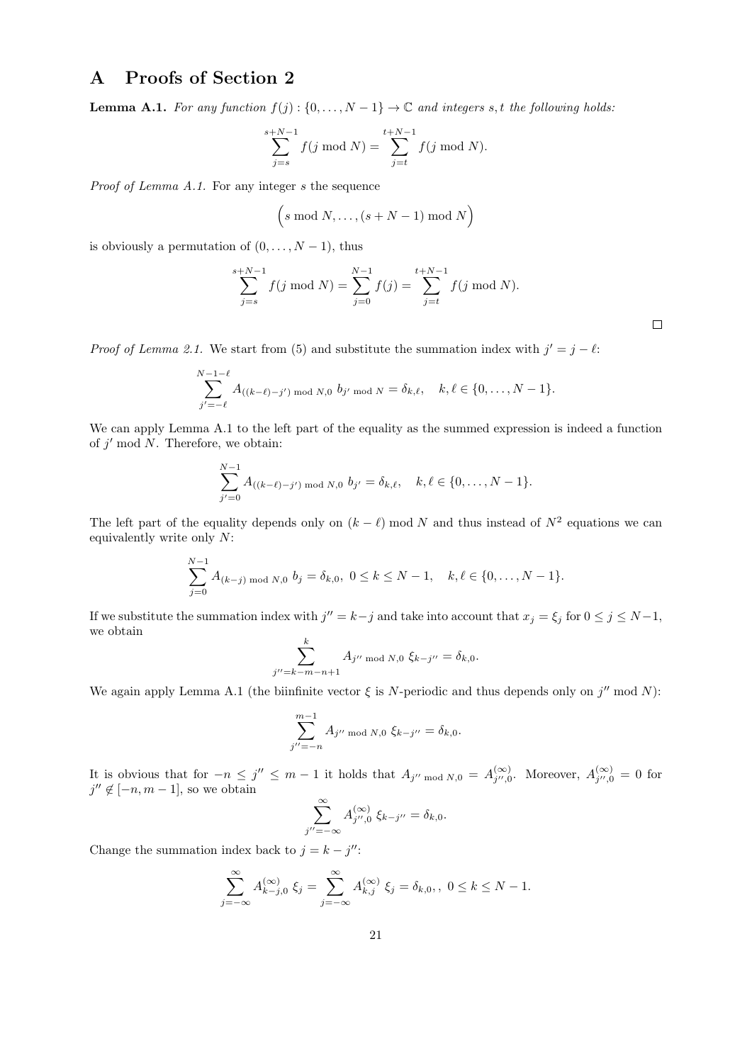# <span id="page-20-0"></span>A Proofs of Section [2](#page-2-0)

<span id="page-20-1"></span>**Lemma A.1.** For any function  $f(j)$ :  $\{0, \ldots, N-1\}$   $\rightarrow \mathbb{C}$  and integers s, t the following holds:

$$
\sum_{j=s}^{s+N-1} f(j \bmod N) = \sum_{j=t}^{t+N-1} f(j \bmod N).
$$

Proof of Lemma [A.1.](#page-20-1) For any integer s the sequence

$$
(s \bmod N, \ldots, (s+N-1) \bmod N)
$$

is obviously a permutation of  $(0, \ldots, N-1)$ , thus

$$
\sum_{j=s}^{s+N-1} f(j \bmod N) = \sum_{j=0}^{N-1} f(j) = \sum_{j=t}^{t+N-1} f(j \bmod N).
$$

*Proof of Lemma [2.1.](#page-3-2)* We start from [\(5\)](#page-3-1) and substitute the summation index with  $j' = j - \ell$ :

$$
\sum_{j'=-\ell}^{N-1-\ell} A_{((k-\ell)-j') \bmod N,0} b_{j' \bmod N} = \delta_{k,\ell}, \quad k,\ell \in \{0,\ldots,N-1\}.
$$

We can apply Lemma [A.1](#page-20-1) to the left part of the equality as the summed expression is indeed a function of  $j'$  mod  $N$ . Therefore, we obtain:

$$
\sum_{j'=0}^{N-1} A_{((k-\ell)-j') \bmod N,0} b_{j'} = \delta_{k,\ell}, \quad k,\ell \in \{0,\ldots,N-1\}.
$$

The left part of the equality depends only on  $(k - \ell)$  mod N and thus instead of  $N^2$  equations we can equivalently write only N:

$$
\sum_{j=0}^{N-1} A_{(k-j) \bmod N,0} b_j = \delta_{k,0}, \ 0 \le k \le N-1, \quad k, \ell \in \{0, \ldots, N-1\}.
$$

If we substitute the summation index with  $j'' = k - j$  and take into account that  $x_j = \xi_j$  for  $0 \le j \le N - 1$ , we obtain

$$
\sum_{j''=k-m-n+1}^{k} A_{j'' \bmod N,0} \xi_{k-j''} = \delta_{k,0}.
$$

We again apply Lemma [A.1](#page-20-1) (the biinfinite vector  $\xi$  is N-periodic and thus depends only on j'' mod N):

$$
\sum_{j''=-n}^{m-1} A_{j'' \bmod N, 0} \xi_{k-j''} = \delta_{k,0}.
$$

It is obvious that for  $-n \leq j'' \leq m-1$  it holds that  $A_{j'' \mod N,0} = A_{j'',0}^{(\infty)}$  $j''$ ,0. Moreover,  $A_{j''}^{(\infty)}$  $j'',0 = 0$  for  $j'' \notin [-n, m-1]$ , so we obtain

$$
\sum_{j''=-\infty}^{\infty} A_{j'',0}^{(\infty)} \xi_{k-j''} = \delta_{k,0}.
$$

Change the summation index back to  $j = k - j''$ :

$$
\sum_{j=-\infty}^{\infty} A_{k-j,0}^{(\infty)} \xi_j = \sum_{j=-\infty}^{\infty} A_{k,j}^{(\infty)} \xi_j = \delta_{k,0}, \quad 0 \le k \le N-1.
$$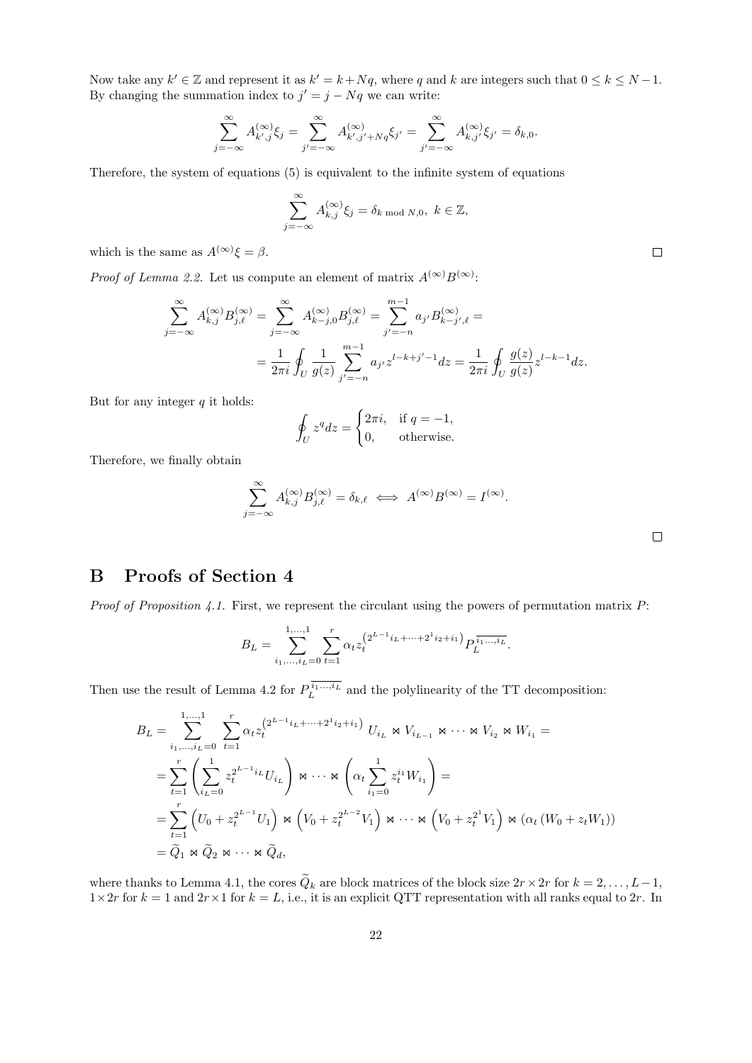Now take any  $k' \in \mathbb{Z}$  and represent it as  $k' = k + Nq$ , where q and k are integers such that  $0 \le k \le N - 1$ . By changing the summation index to  $j' = j - Nq$  we can write:

$$
\sum_{j=-\infty}^{\infty} A_{k',j}^{(\infty)} \xi_j = \sum_{j'=-\infty}^{\infty} A_{k',j'+Nq}^{(\infty)} \xi_{j'} = \sum_{j'=-\infty}^{\infty} A_{k,j'}^{(\infty)} \xi_{j'} = \delta_{k,0}.
$$

Therefore, the system of equations [\(5\)](#page-3-1) is equivalent to the infinite system of equations

$$
\sum_{j=-\infty}^{\infty} A_{k,j}^{(\infty)} \xi_j = \delta_{k \mod N,0}, \ k \in \mathbb{Z},
$$

which is the same as  $A^{(\infty)}\xi = \beta$ .

*Proof of Lemma [2.2.](#page-4-2)* Let us compute an element of matrix  $A^{(\infty)}B^{(\infty)}$ :

$$
\sum_{j=-\infty}^{\infty} A_{k,j}^{(\infty)} B_{j,\ell}^{(\infty)} = \sum_{j=-\infty}^{\infty} A_{k-j,0}^{(\infty)} B_{j,\ell}^{(\infty)} = \sum_{j'=-n}^{m-1} a_{j'} B_{k-j',\ell}^{(\infty)} =
$$
  

$$
= \frac{1}{2\pi i} \oint_U \frac{1}{g(z)} \sum_{j'=-n}^{m-1} a_{j'} z^{l-k+j'-1} dz = \frac{1}{2\pi i} \oint_U \frac{g(z)}{g(z)} z^{l-k-1} dz.
$$

But for any integer  $q$  it holds:

$$
\oint_U z^q dz = \begin{cases} 2\pi i, & \text{if } q = -1, \\ 0, & \text{otherwise.} \end{cases}
$$

Therefore, we finally obtain

$$
\sum_{j=-\infty}^{\infty} A_{k,j}^{(\infty)} B_{j,\ell}^{(\infty)} = \delta_{k,\ell} \iff A^{(\infty)} B^{(\infty)} = I^{(\infty)}.
$$

# <span id="page-21-0"></span>B Proofs of Section [4](#page-9-0)

*Proof of Proposition [4.1.](#page-10-1)* First, we represent the circulant using the powers of permutation matrix  $P$ :

$$
B_L = \sum_{i_1,\dots,i_L=0}^{1,\dots,1} \sum_{t=1}^r \alpha_t z_t^{(2^{L-1}i_L + \dots + 2^1 i_2 + i_1)} P_L^{\overline{i_1\dots, i_L}}.
$$

Then use the result of Lemma [4.2](#page-10-2) for  $P_L^{i_1,\dots,i_L}$  and the polylinearity of the TT decomposition:

$$
B_{L} = \sum_{i_{1},...,i_{L}=0}^{1,...,1} \sum_{t=1}^{r} \alpha_{t} z_{t}^{(2^{L-1}i_{L} + ... + 2^{1}i_{2}+i_{1})} U_{i_{L}} \bowtie V_{i_{L-1}} \bowtie \cdots \bowtie V_{i_{2}} \bowtie W_{i_{1}} =
$$
  
\n
$$
= \sum_{t=1}^{r} \left( \sum_{i_{L}=0}^{1} z_{t}^{2^{L-1}i_{L}} U_{i_{L}} \right) \bowtie \cdots \bowtie \left( \alpha_{t} \sum_{i_{1}=0}^{1} z_{t}^{i_{1}} W_{i_{1}} \right) =
$$
  
\n
$$
= \sum_{t=1}^{r} \left( U_{0} + z_{t}^{2^{L-1}} U_{1} \right) \bowtie \left( V_{0} + z_{t}^{2^{L-2}} V_{1} \right) \bowtie \cdots \bowtie \left( V_{0} + z_{t}^{2^{1}} V_{1} \right) \bowtie \left( \alpha_{t} \left( W_{0} + z_{t} W_{1} \right) \right)
$$
  
\n
$$
= \widetilde{Q}_{1} \bowtie \widetilde{Q}_{2} \bowtie \cdots \bowtie \widetilde{Q}_{d},
$$

where thanks to Lemma [4.1,](#page-10-0) the cores  $\tilde{Q}_k$  are block matrices of the block size  $2r \times 2r$  for  $k = 2, \ldots, L-1$ ,  $1\times 2r$  for  $k = 1$  and  $2r \times 1$  for  $k = L$ , i.e., it is an explicit QTT representation with all ranks equal to  $2r$ . In

 $\Box$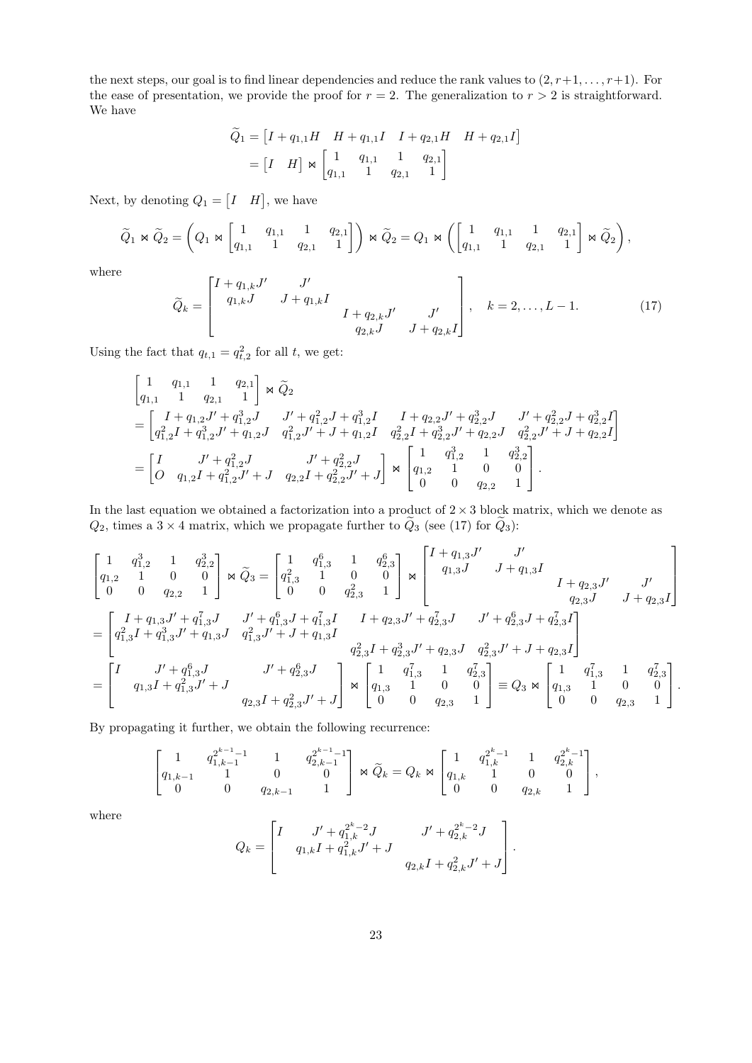the next steps, our goal is to find linear dependencies and reduce the rank values to  $(2, r+1, \ldots, r+1)$ . For the ease of presentation, we provide the proof for  $r = 2$ . The generalization to  $r > 2$  is straightforward. We have

$$
\widetilde{Q}_1 = \begin{bmatrix} I + q_{1,1}H & H + q_{1,1}I & I + q_{2,1}H & H + q_{2,1}I \end{bmatrix}
$$

$$
= \begin{bmatrix} I & H \end{bmatrix} \Join \begin{bmatrix} 1 & q_{1,1} & 1 & q_{2,1} \\ q_{1,1} & 1 & q_{2,1} & 1 \end{bmatrix}
$$

Next, by denoting  $Q_1 = \begin{bmatrix} I & H \end{bmatrix}$ , we have

$$
\widetilde{Q}_1 \Join \widetilde{Q}_2 = \left(Q_1 \Join \begin{bmatrix} 1 & q_{1,1} & 1 & q_{2,1} \\ q_{1,1} & 1 & q_{2,1} & 1 \end{bmatrix}\right) \Join \widetilde{Q}_2 = Q_1 \Join \left(\begin{bmatrix} 1 & q_{1,1} & 1 & q_{2,1} \\ q_{1,1} & 1 & q_{2,1} & 1 \end{bmatrix} \Join \widetilde{Q}_2\right),
$$

where

<span id="page-22-0"></span>
$$
\widetilde{Q}_k = \begin{bmatrix} I + q_{1,k}J' & J' & J' \\ q_{1,k}J & J + q_{1,k}I & & J' \\ & & q_{2,k}J & J + q_{2,k}I \end{bmatrix}, \quad k = 2, ..., L - 1.
$$
 (17)

Using the fact that  $q_{t,1} = q_{t,2}^2$  for all t, we get:

$$
\begin{aligned}\n\begin{bmatrix}\n1 & q_{1,1} & 1 & q_{2,1} \\
q_{1,1} & 1 & q_{2,1} & 1\n\end{bmatrix} & \propto \widetilde{Q}_2 \\
= \begin{bmatrix}\nI + q_{1,2}J' + q_{1,2}^3J & J' + q_{1,2}^2J + q_{1,2}^3I & I + q_{2,2}J' + q_{2,2}^3J & J' + q_{2,2}^2J + q_{2,2}^3I \\
q_{1,2}^2I + q_{1,2}^3J' + q_{1,2}J & q_{1,2}^2J' + J + q_{1,2}I & q_{2,2}^2I + q_{2,2}^3J' + q_{2,2}J & q_{2,2}^2J' + J + q_{2,2}I\n\end{bmatrix}\n\end{aligned}
$$
\n
$$
= \begin{bmatrix}\nI & J' + q_{1,2}^2J & J' + q_{2,2}^2J \\
O & q_{1,2}I + q_{1,2}^2J' + J & q_{2,2}I + q_{2,2}^2J' + J\n\end{bmatrix} \propto \begin{bmatrix}\n1 & q_{1,2}^3 & 1 & q_{2,2}^3 \\
q_{1,2} & 1 & 0 & 0 \\
0 & 0 & q_{2,2} & 1\n\end{bmatrix}.
$$

In the last equation we obtained a factorization into a product of  $2 \times 3$  block matrix, which we denote as  $Q_2$ , times a 3 × 4 matrix, which we propagate further to  $\tilde{Q}_3$  (see [\(17\)](#page-22-0) for  $\tilde{Q}_3$ ):

$$
\begin{bmatrix} 1 & q_{1,2}^3 & 1 & q_{2,2}^3 \\ q_{1,2} & 1 & 0 & 0 \\ 0 & 0 & q_{2,2} & 1 \end{bmatrix} \propto \widetilde{Q}_3 = \begin{bmatrix} 1 & q_{1,3}^6 & 1 & q_{2,3}^6 \\ q_{1,3}^2 & 1 & 0 & 0 \\ 0 & 0 & q_{2,3}^2 & 1 \end{bmatrix} \propto \begin{bmatrix} I + q_{1,3}J' & J' \\ q_{1,3}J & J + q_{1,3}I \\ q_{2,3}J & J + q_{2,3}J' \end{bmatrix}
$$
  
\n
$$
= \begin{bmatrix} I + q_{1,3}J' + q_{1,3}^7J & J' + q_{1,3}^6J + q_{1,3}^7I & I + q_{2,3}J' + q_{2,3}^7J & J' + q_{2,3}^6J + q_{2,3}^7I \\ q_{1,3}^2J + q_{1,3}^3J' + q_{1,3}J & q_{1,3}^2J' + J + q_{1,3}I \\ q_{2,3}^2J + q_{2,3}^3J' + q_{2,3}J & q_{2,3}^2J' + J + q_{2,3}I \end{bmatrix}
$$
  
\n
$$
= \begin{bmatrix} I & J' + q_{1,3}^6J & J' + q_{2,3}^6J \\ q_{1,3}I + q_{1,3}^2J' + J & q_{2,3}J' + J \end{bmatrix} \propto \begin{bmatrix} 1 & q_{1,3}^7 & 1 & q_{2,3}^7 \\ q_{1,3} & 1 & 0 & 0 \\ 0 & 0 & q_{2,3} & 1 \end{bmatrix} \equiv Q_3 \bowtie \begin{bmatrix} 1 & q_{1,3}^7 & 1 & q_{2,3}^7 \\ q_{1,3} & 1 & 0 & 0 \\ 0 & 0 & q_{2,3} & 1 \end{bmatrix}.
$$

By propagating it further, we obtain the following recurrence:

$$
\begin{bmatrix} 1 & q_{1,k-1}^{2^{k-1}-1} & 1 & q_{2,k-1}^{2^{k-1}-1} \\ q_{1,k-1} & 1 & 0 & 0 \\ 0 & 0 & q_{2,k-1} & 1 \end{bmatrix} \Join \widetilde{Q}_k = Q_k \Join \begin{bmatrix} 1 & q_{1,k}^{2^k-1} & 1 & q_{2,k}^{2^k-1} \\ q_{1,k} & 1 & 0 & 0 \\ 0 & 0 & q_{2,k} & 1 \end{bmatrix},
$$

where

$$
Q_k = \begin{bmatrix} I & J' + q_{1,k}^{2^k - 2}J & J' + q_{2,k}^{2^k - 2}J \\ q_{1,k}I + q_{1,k}^2J' + J & & \\ & q_{2,k}I + q_{2,k}^2J' + J \end{bmatrix}.
$$